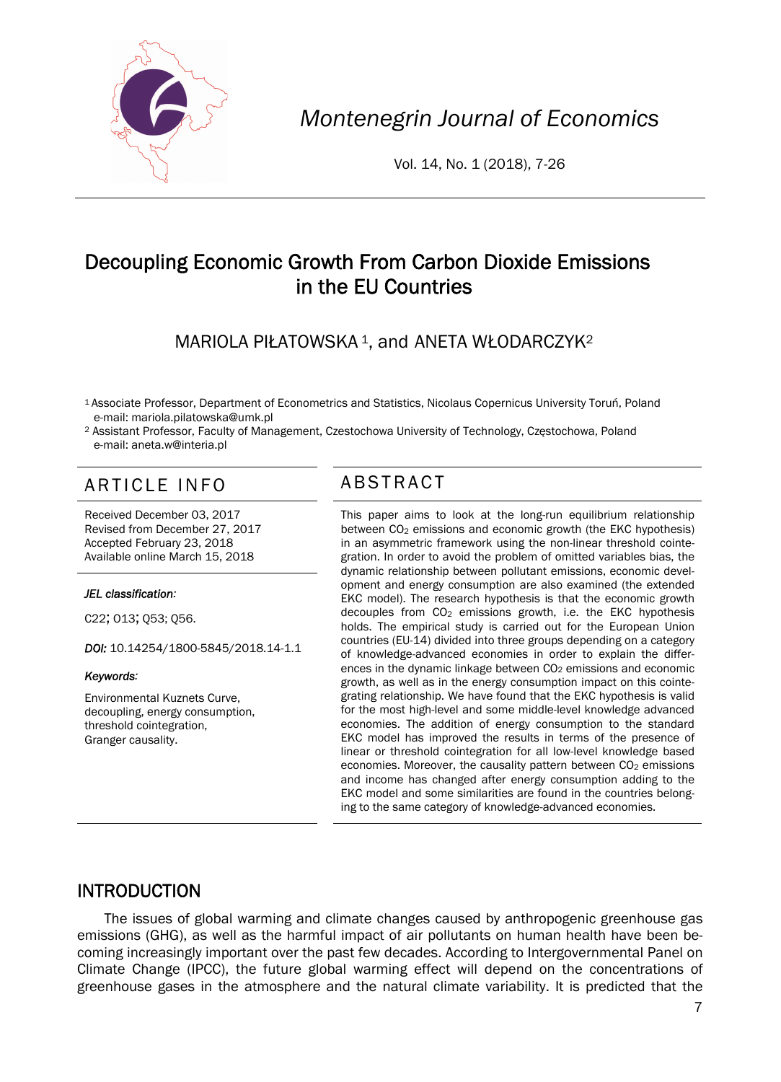

*Montenegrin Journal of Economics* 

Vol. 14, No. 1 (2018), 7-26

# Decoupling Economic Growth From Carbon Dioxide Emissions in the EU Countries

MARIOLA PIŁATOWSKA<sup>1</sup>, and ANETA WŁODARCZYK<sup>2</sup>

- 1 Associate Professor, Department of Econometrics and Statistics, Nicolaus Copernicus University Toruń, Poland e-mail: mariola.pilatowska@umk.pl
- 2 Assistant Professor, Faculty of Management, Czestochowa University of Technology, Częstochowa, Poland e-mail: aneta.w@interia.pl

# ARTICLE INFO ABSTRACT

Received December 03, 2017 Revised from December 27, 2017 Accepted February 23, 2018 Available online March 15, 2018

### *JEL classification:*

C22; O13; Q53; Q56.

*DOI:* 10.14254/1800-5845/2018.14-1.1

#### *Keywords:*

Environmental Kuznets Curve, decoupling, energy consumption, threshold cointegration, Granger causality.

 This paper aims to look at the long-run equilibrium relationship between CO<sub>2</sub> emissions and economic growth (the EKC hypothesis) in an asymmetric framework using the non-linear threshold cointegration. In order to avoid the problem of omitted variables bias, the dynamic relationship between pollutant emissions, economic development and energy consumption are also examined (the extended EKC model). The research hypothesis is that the economic growth decouples from  $CO<sub>2</sub>$  emissions growth, i.e. the EKC hypothesis holds. The empirical study is carried out for the European Union countries (EU-14) divided into three groups depending on a category of knowledge-advanced economies in order to explain the differences in the dynamic linkage between CO<sub>2</sub> emissions and economic growth, as well as in the energy consumption impact on this cointegrating relationship. We have found that the EKC hypothesis is valid for the most high-level and some middle-level knowledge advanced economies. The addition of energy consumption to the standard EKC model has improved the results in terms of the presence of linear or threshold cointegration for all low-level knowledge based economies. Moreover, the causality pattern between CO<sub>2</sub> emissions and income has changed after energy consumption adding to the EKC model and some similarities are found in the countries belonging to the same category of knowledge-advanced economies.

# INTRODUCTION

The issues of global warming and climate changes caused by anthropogenic greenhouse gas emissions (GHG), as well as the harmful impact of air pollutants on human health have been becoming increasingly important over the past few decades. According to Intergovernmental Panel on Climate Change (IPCC), the future global warming effect will depend on the concentrations of greenhouse gases in the atmosphere and the natural climate variability. It is predicted that the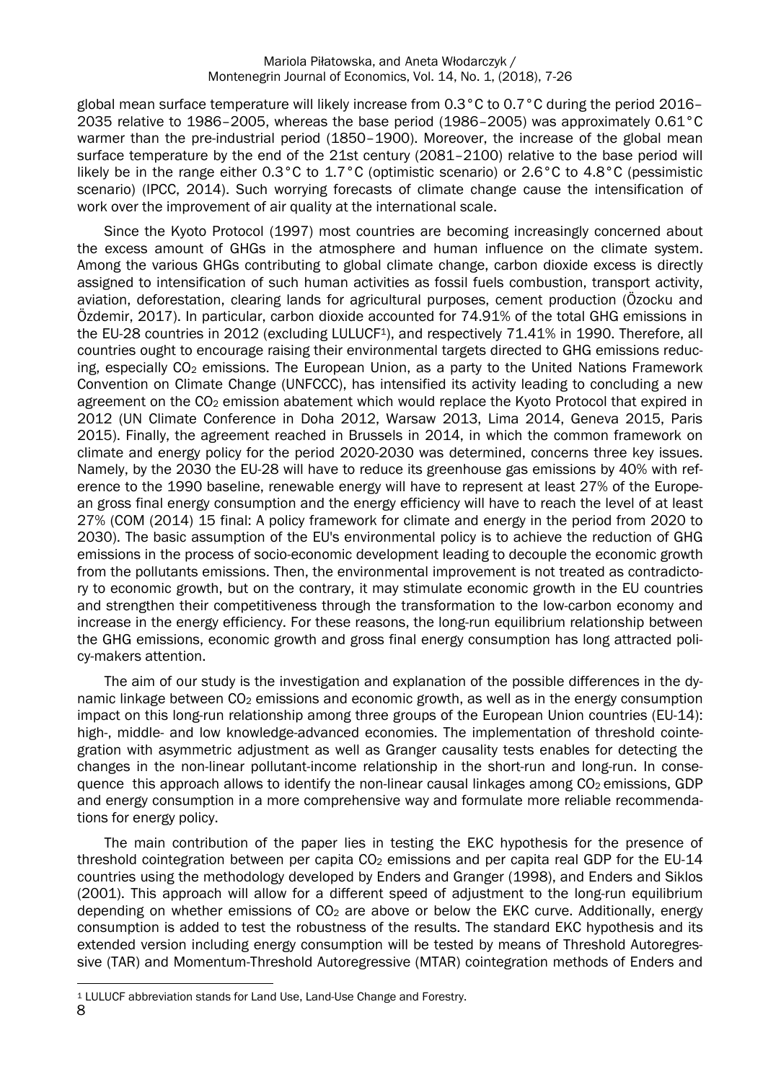global mean surface temperature will likely increase from 0.3°C to 0.7°C during the period 2016– 2035 relative to 1986–2005, whereas the base period (1986–2005) was approximately 0.61°C warmer than the pre-industrial period (1850–1900). Moreover, the increase of the global mean surface temperature by the end of the 21st century (2081–2100) relative to the base period will likely be in the range either 0.3°C to 1.7°C (optimistic scenario) or 2.6°C to 4.8°C (pessimistic scenario) (IPCC, 2014). Such worrying forecasts of climate change cause the intensification of work over the improvement of air quality at the international scale.

Since the Kyoto Protocol (1997) most countries are becoming increasingly concerned about the excess amount of GHGs in the atmosphere and human influence on the climate system. Among the various GHGs contributing to global climate change, carbon dioxide excess is directly assigned to intensification of such human activities as fossil fuels combustion, transport activity, aviation, deforestation, clearing lands for agricultural purposes, cement production (Özocku and Özdemir, 2017). In particular, carbon dioxide accounted for 74.91% of the total GHG emissions in the EU-28 countries in 2012 (excluding LULUCF<sup>1</sup>), and respectively 71.41% in 1990. Therefore, all countries ought to encourage raising their environmental targets directed to GHG emissions reducing, especially  $CO<sub>2</sub>$  emissions. The European Union, as a party to the United Nations Framework Convention on Climate Change (UNFCCC), has intensified its activity leading to concluding a new agreement on the CO<sub>2</sub> emission abatement which would replace the Kyoto Protocol that expired in 2012 (UN Climate Conference in Doha 2012, Warsaw 2013, Lima 2014, Geneva 2015, Paris 2015). Finally, the agreement reached in Brussels in 2014, in which the common framework on climate and energy policy for the period 2020-2030 was determined, concerns three key issues. Namely, by the 2030 the EU-28 will have to reduce its greenhouse gas emissions by 40% with reference to the 1990 baseline, renewable energy will have to represent at least 27% of the European gross final energy consumption and the energy efficiency will have to reach the level of at least 27% (COM (2014) 15 final: A policy framework for climate and energy in the period from 2020 to 2030). The basic assumption of the EU's environmental policy is to achieve the reduction of GHG emissions in the process of socio-economic development leading to decouple the economic growth from the pollutants emissions. Then, the environmental improvement is not treated as contradictory to economic growth, but on the contrary, it may stimulate economic growth in the EU countries and strengthen their competitiveness through the transformation to the low-carbon economy and increase in the energy efficiency. For these reasons, the long-run equilibrium relationship between the GHG emissions, economic growth and gross final energy consumption has long attracted policy-makers attention.

The aim of our study is the investigation and explanation of the possible differences in the dynamic linkage between  $CO<sub>2</sub>$  emissions and economic growth, as well as in the energy consumption impact on this long-run relationship among three groups of the European Union countries (EU-14): high-, middle- and low knowledge-advanced economies. The implementation of threshold cointegration with asymmetric adjustment as well as Granger causality tests enables for detecting the changes in the non-linear pollutant-income relationship in the short-run and long-run. In consequence this approach allows to identify the non-linear causal linkages among CO<sub>2</sub> emissions, GDP and energy consumption in a more comprehensive way and formulate more reliable recommendations for energy policy.

The main contribution of the paper lies in testing the EKC hypothesis for the presence of threshold cointegration between per capita  $CO<sub>2</sub>$  emissions and per capita real GDP for the EU-14 countries using the methodology developed by Enders and Granger (1998), and Enders and Siklos (2001). This approach will allow for a different speed of adjustment to the long-run equilibrium depending on whether emissions of  $CO<sub>2</sub>$  are above or below the EKC curve. Additionally, energy consumption is added to test the robustness of the results. The standard EKC hypothesis and its extended version including energy consumption will be tested by means of Threshold Autoregressive (TAR) and Momentum-Threshold Autoregressive (MTAR) cointegration methods of Enders and

 $\overline{a}$ 1 LULUCF abbreviation stands for Land Use, Land-Use Change and Forestry.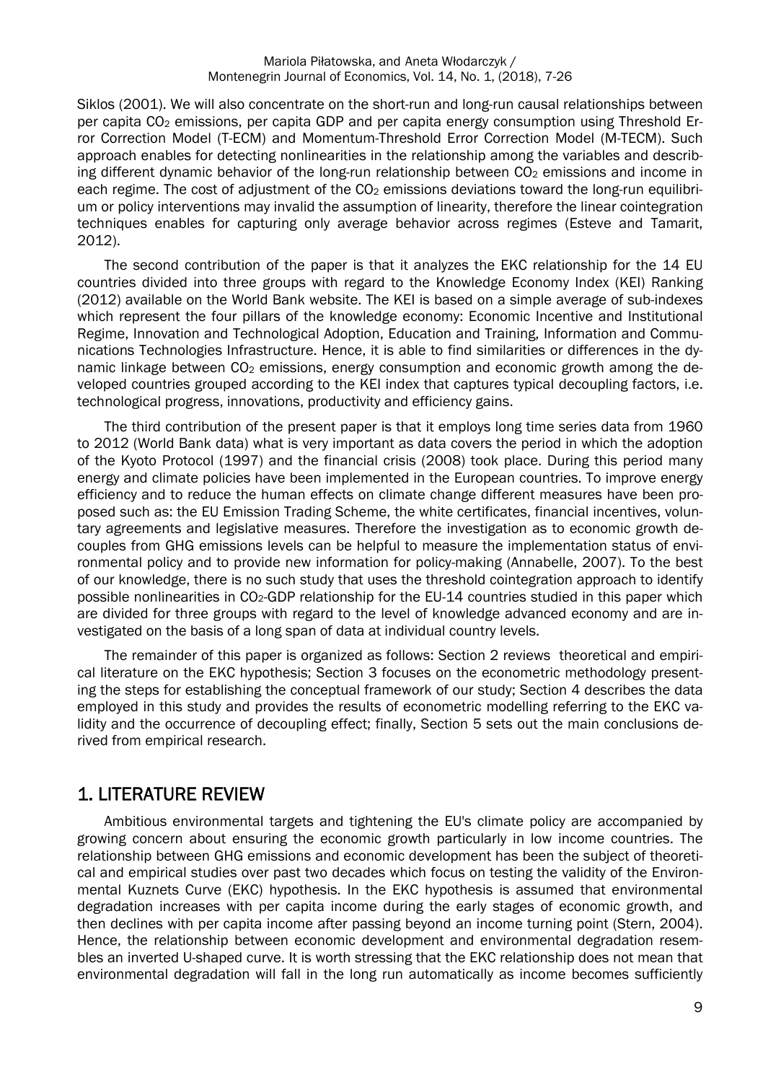Siklos (2001). We will also concentrate on the short-run and long-run causal relationships between per capita  $CO<sub>2</sub>$  emissions, per capita GDP and per capita energy consumption using Threshold Error Correction Model (T-ECM) and Momentum-Threshold Error Correction Model (M-TECM). Such approach enables for detecting nonlinearities in the relationship among the variables and describing different dynamic behavior of the long-run relationship between  $CO<sub>2</sub>$  emissions and income in each regime. The cost of adjustment of the  $CO<sub>2</sub>$  emissions deviations toward the long-run equilibrium or policy interventions may invalid the assumption of linearity, therefore the linear cointegration techniques enables for capturing only average behavior across regimes (Esteve and Tamarit, 2012).

The second contribution of the paper is that it analyzes the EKC relationship for the 14 EU countries divided into three groups with regard to the Knowledge Economy Index (KEI) Ranking (2012) available on the World Bank website. The KEI is based on a simple average of sub-indexes which represent the four pillars of the knowledge economy: Economic Incentive and Institutional Regime, Innovation and Technological Adoption, Education and Training, Information and Communications Technologies Infrastructure. Hence, it is able to find similarities or differences in the dynamic linkage between  $CO<sub>2</sub>$  emissions, energy consumption and economic growth among the developed countries grouped according to the KEI index that captures typical decoupling factors, i.e. technological progress, innovations, productivity and efficiency gains.

The third contribution of the present paper is that it employs long time series data from 1960 to 2012 (World Bank data) what is very important as data covers the period in which the adoption of the Kyoto Protocol (1997) and the financial crisis (2008) took place. During this period many energy and climate policies have been implemented in the European countries. To improve energy efficiency and to reduce the human effects on climate change different measures have been proposed such as: the EU Emission Trading Scheme, the white certificates, financial incentives, voluntary agreements and legislative measures. Therefore the investigation as to economic growth decouples from GHG emissions levels can be helpful to measure the implementation status of environmental policy and to provide new information for policy-making (Annabelle, 2007). To the best of our knowledge, there is no such study that uses the threshold cointegration approach to identify possible nonlinearities in CO2-GDP relationship for the EU-14 countries studied in this paper which are divided for three groups with regard to the level of knowledge advanced economy and are investigated on the basis of a long span of data at individual country levels.

The remainder of this paper is organized as follows: Section 2 reviews theoretical and empirical literature on the EKC hypothesis; Section 3 focuses on the econometric methodology presenting the steps for establishing the conceptual framework of our study; Section 4 describes the data employed in this study and provides the results of econometric modelling referring to the EKC validity and the occurrence of decoupling effect; finally, Section 5 sets out the main conclusions derived from empirical research.

# 1. LITERATURE REVIEW

Ambitious environmental targets and tightening the EU's climate policy are accompanied by growing concern about ensuring the economic growth particularly in low income countries. The relationship between GHG emissions and economic development has been the subject of theoretical and empirical studies over past two decades which focus on testing the validity of the Environmental Kuznets Curve (EKC) hypothesis. In the EKC hypothesis is assumed that environmental degradation increases with per capita income during the early stages of economic growth, and then declines with per capita income after passing beyond an income turning point (Stern, 2004). Hence, the relationship between economic development and environmental degradation resembles an inverted U-shaped curve. It is worth stressing that the EKC relationship does not mean that environmental degradation will fall in the long run automatically as income becomes sufficiently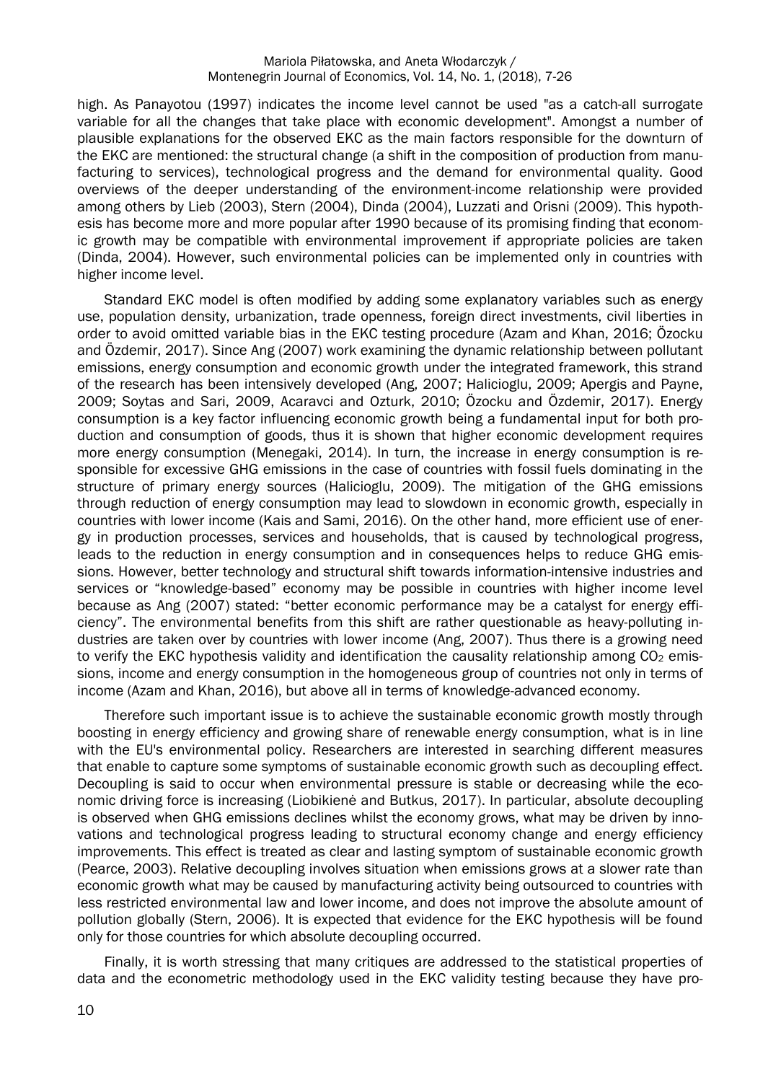high. As Panayotou (1997) indicates the income level cannot be used "as a catch-all surrogate variable for all the changes that take place with economic development". Amongst a number of plausible explanations for the observed EKC as the main factors responsible for the downturn of the EKC are mentioned: the structural change (a shift in the composition of production from manufacturing to services), technological progress and the demand for environmental quality. Good overviews of the deeper understanding of the environment-income relationship were provided among others by Lieb (2003), Stern (2004), Dinda (2004), Luzzati and Orisni (2009). This hypothesis has become more and more popular after 1990 because of its promising finding that economic growth may be compatible with environmental improvement if appropriate policies are taken (Dinda, 2004). However, such environmental policies can be implemented only in countries with higher income level.

Standard EKC model is often modified by adding some explanatory variables such as energy use, population density, urbanization, trade openness, foreign direct investments, civil liberties in order to avoid omitted variable bias in the EKC testing procedure (Azam and Khan, 2016; Özocku and Özdemir, 2017). Since Ang (2007) work examining the dynamic relationship between pollutant emissions, energy consumption and economic growth under the integrated framework, this strand of the research has been intensively developed (Ang, 2007; Halicioglu, 2009; Apergis and Payne, 2009; Soytas and Sari, 2009, Acaravci and Ozturk, 2010; Özocku and Özdemir, 2017). Energy consumption is a key factor influencing economic growth being a fundamental input for both production and consumption of goods, thus it is shown that higher economic development requires more energy consumption (Menegaki, 2014). In turn, the increase in energy consumption is responsible for excessive GHG emissions in the case of countries with fossil fuels dominating in the structure of primary energy sources (Halicioglu, 2009). The mitigation of the GHG emissions through reduction of energy consumption may lead to slowdown in economic growth, especially in countries with lower income (Kais and Sami, 2016). On the other hand, more efficient use of energy in production processes, services and households, that is caused by technological progress, leads to the reduction in energy consumption and in consequences helps to reduce GHG emissions. However, better technology and structural shift towards information-intensive industries and services or "knowledge-based" economy may be possible in countries with higher income level because as Ang (2007) stated: "better economic performance may be a catalyst for energy efficiency". The environmental benefits from this shift are rather questionable as heavy-polluting industries are taken over by countries with lower income (Ang, 2007). Thus there is a growing need to verify the EKC hypothesis validity and identification the causality relationship among  $CO<sub>2</sub>$  emissions, income and energy consumption in the homogeneous group of countries not only in terms of income (Azam and Khan, 2016), but above all in terms of knowledge-advanced economy.

Therefore such important issue is to achieve the sustainable economic growth mostly through boosting in energy efficiency and growing share of renewable energy consumption, what is in line with the EU's environmental policy. Researchers are interested in searching different measures that enable to capture some symptoms of sustainable economic growth such as decoupling effect. Decoupling is said to occur when environmental pressure is stable or decreasing while the economic driving force is increasing (Liobikienė and Butkus, 2017). In particular, absolute decoupling is observed when GHG emissions declines whilst the economy grows, what may be driven by innovations and technological progress leading to structural economy change and energy efficiency improvements. This effect is treated as clear and lasting symptom of sustainable economic growth (Pearce, 2003). Relative decoupling involves situation when emissions grows at a slower rate than economic growth what may be caused by manufacturing activity being outsourced to countries with less restricted environmental law and lower income, and does not improve the absolute amount of pollution globally (Stern, 2006). It is expected that evidence for the EKC hypothesis will be found only for those countries for which absolute decoupling occurred.

Finally, it is worth stressing that many critiques are addressed to the statistical properties of data and the econometric methodology used in the EKC validity testing because they have pro-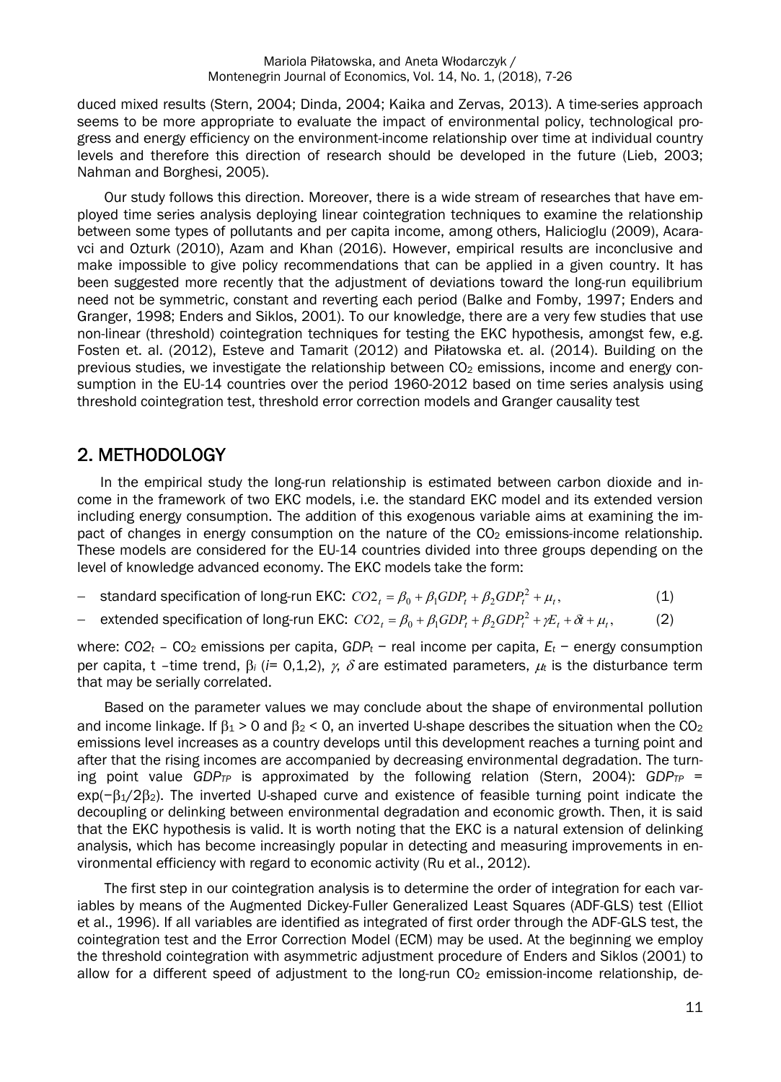duced mixed results (Stern, 2004; Dinda, 2004; Kaika and Zervas, 2013). A time-series approach seems to be more appropriate to evaluate the impact of environmental policy, technological progress and energy efficiency on the environment-income relationship over time at individual country levels and therefore this direction of research should be developed in the future (Lieb, 2003; Nahman and Borghesi, 2005).

Our study follows this direction. Moreover, there is a wide stream of researches that have employed time series analysis deploying linear cointegration techniques to examine the relationship between some types of pollutants and per capita income, among others, Halicioglu (2009), Acaravci and Ozturk (2010), Azam and Khan (2016). However, empirical results are inconclusive and make impossible to give policy recommendations that can be applied in a given country. It has been suggested more recently that the adjustment of deviations toward the long-run equilibrium need not be symmetric, constant and reverting each period (Balke and Fomby, 1997; Enders and Granger, 1998; Enders and Siklos, 2001). To our knowledge, there are a very few studies that use non-linear (threshold) cointegration techniques for testing the EKC hypothesis, amongst few, e.g. Fosten et. al. (2012), Esteve and Tamarit (2012) and Piłatowska et. al. (2014). Building on the previous studies, we investigate the relationship between  $CO<sub>2</sub>$  emissions, income and energy consumption in the EU-14 countries over the period 1960-2012 based on time series analysis using threshold cointegration test, threshold error correction models and Granger causality test

# 2. METHODOLOGY

In the empirical study the long-run relationship is estimated between carbon dioxide and income in the framework of two EKC models, i.e. the standard EKC model and its extended version including energy consumption. The addition of this exogenous variable aims at examining the impact of changes in energy consumption on the nature of the  $CO<sub>2</sub>$  emissions-income relationship. These models are considered for the EU-14 countries divided into three groups depending on the level of knowledge advanced economy. The EKC models take the form:

- standard specification of long-run EKC:  $CO2_t = \beta_0 + \beta_1 GDP_t + \beta_2 GDP_t^2 + \mu_t$ , (1)
- are extended specification of long-run EKC:  $CO2_t = \beta_0 + \beta_1 GDP_t + \beta_2 GDP_t^2 + \gamma E_t + \delta t + \mu_t$ , (2)

where: *CO2t* – CO2 emissions per capita, *GDPt* − real income per capita, *Et* − energy consumption per capita, t –time trend,  $\beta_i$  (*i*= 0,1,2),  $\gamma$ ,  $\delta$  are estimated parameters,  $\mu_i$  is the disturbance term that may be serially correlated.

Based on the parameter values we may conclude about the shape of environmental pollution and income linkage. If  $B_1 > 0$  and  $B_2 < 0$ , an inverted U-shape describes the situation when the CO<sub>2</sub> emissions level increases as a country develops until this development reaches a turning point and after that the rising incomes are accompanied by decreasing environmental degradation. The turning point value *GDPTP* is approximated by the following relation (Stern, 2004): *GDPTP* =  $exp(-\beta_1/2\beta_2)$ . The inverted U-shaped curve and existence of feasible turning point indicate the decoupling or delinking between environmental degradation and economic growth. Then, it is said that the EKC hypothesis is valid. It is worth noting that the EKC is a natural extension of delinking analysis, which has become increasingly popular in detecting and measuring improvements in environmental efficiency with regard to economic activity (Ru et al., 2012).

The first step in our cointegration analysis is to determine the order of integration for each variables by means of the Augmented Dickey-Fuller Generalized Least Squares (ADF-GLS) test (Elliot et al., 1996). If all variables are identified as integrated of first order through the ADF-GLS test, the cointegration test and the Error Correction Model (ECM) may be used. At the beginning we employ the threshold cointegration with asymmetric adjustment procedure of Enders and Siklos (2001) to allow for a different speed of adjustment to the long-run  $CO<sub>2</sub>$  emission-income relationship, de-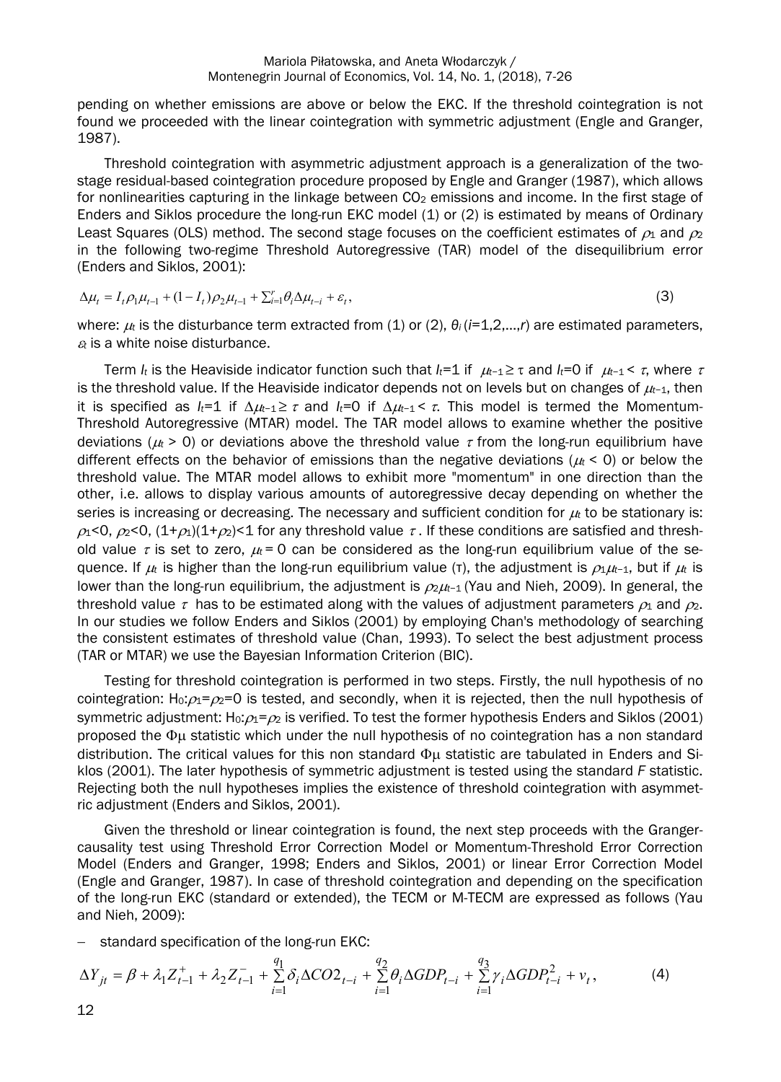pending on whether emissions are above or below the EKC. If the threshold cointegration is not found we proceeded with the linear cointegration with symmetric adjustment (Engle and Granger, 1987).

Threshold cointegration with asymmetric adjustment approach is a generalization of the twostage residual-based cointegration procedure proposed by Engle and Granger (1987), which allows for nonlinearities capturing in the linkage between  $CO<sub>2</sub>$  emissions and income. In the first stage of Enders and Siklos procedure the long-run EKC model (1) or (2) is estimated by means of Ordinary Least Squares (OLS) method. The second stage focuses on the coefficient estimates of  $\rho_1$  and  $\rho_2$ in the following two-regime Threshold Autoregressive (TAR) model of the disequilibrium error (Enders and Siklos, 2001):

$$
\Delta \mu_t = I_t \rho_1 \mu_{t-1} + (1 - I_t) \rho_2 \mu_{t-1} + \sum_{i=1}^r \theta_i \Delta \mu_{t-i} + \varepsilon_t,
$$
\n(3)

where:  $μ$  is the disturbance term extracted from (1) or (2),  $θ$ <sub>*i*</sub> (*i*=1,2,...,*r*) are estimated parameters, *<sup>t</sup>* is a white noise disturbance.

Term *I<sub>t</sub>* is the Heaviside indicator function such that *I<sub>t</sub>*=1 if  $\mu$ <sub>t</sub>-1 ≥  $\tau$  and *I<sub>t</sub>*=0 if  $\mu$ <sub>t</sub>-1 <  $\tau$ , where  $\tau$ is the threshold value. If the Heaviside indicator depends not on levels but on changes of *t*−1, then it is specified as  $I_t=1$  if  $\Delta \mu_{t-1} \geq \tau$  and  $I_t=0$  if  $\Delta \mu_{t-1} < \tau$ . This model is termed the Momentum-Threshold Autoregressive (MTAR) model. The TAR model allows to examine whether the positive deviations ( $u_t$  > 0) or deviations above the threshold value  $\tau$  from the long-run equilibrium have different effects on the behavior of emissions than the negative deviations ( $u_t < 0$ ) or below the threshold value. The MTAR model allows to exhibit more "momentum" in one direction than the other, i.e. allows to display various amounts of autoregressive decay depending on whether the series is increasing or decreasing. The necessary and sufficient condition for  $\mu$  to be stationary is:  $\alpha$ <0,  $\alpha$ <0,  $(1+\alpha)(1+\alpha)$  for any threshold value  $\tau$ . If these conditions are satisfied and threshold value  $\tau$  is set to zero,  $\mu$  = 0 can be considered as the long-run equilibrium value of the sequence. If  $\mu$  is higher than the long-run equilibrium value (τ), the adjustment is  $\rho_1\mu_{-1}$ , but if  $\mu$  is lower than the long-run equilibrium, the adjustment is  $\rho_2\mu_1$ -1 (Yau and Nieh, 2009). In general, the threshold value  $\tau$  has to be estimated along with the values of adjustment parameters  $\rho_1$  and  $\rho_2$ . In our studies we follow Enders and Siklos (2001) by employing Chan's methodology of searching the consistent estimates of threshold value (Chan, 1993). To select the best adjustment process (TAR or MTAR) we use the Bayesian Information Criterion (BIC).

Testing for threshold cointegration is performed in two steps. Firstly, the null hypothesis of no cointegration: H<sub>0</sub>: $\rho_1 = \rho_2 = 0$  is tested, and secondly, when it is rejected, then the null hypothesis of symmetric adjustment: Ho: $\rho_1 = \rho_2$  is verified. To test the former hypothesis Enders and Siklos (2001) proposed the  $\Phi$ µ statistic which under the null hypothesis of no cointegration has a non standard distribution. The critical values for this non standard  $\Phi$ u statistic are tabulated in Enders and Siklos (2001). The later hypothesis of symmetric adjustment is tested using the standard *F* statistic. Rejecting both the null hypotheses implies the existence of threshold cointegration with asymmetric adjustment (Enders and Siklos, 2001).

Given the threshold or linear cointegration is found, the next step proceeds with the Grangercausality test using Threshold Error Correction Model or Momentum-Threshold Error Correction Model (Enders and Granger, 1998; Enders and Siklos, 2001) or linear Error Correction Model (Engle and Granger, 1987). In case of threshold cointegration and depending on the specification of the long-run EKC (standard or extended), the TECM or M-TECM are expressed as follows (Yau and Nieh, 2009):

 $-$  standard specification of the long-run EKC:

$$
\Delta Y_{jt} = \beta + \lambda_1 Z_{t-1}^+ + \lambda_2 Z_{t-1}^- + \sum_{i=1}^{q_1} \delta_i \Delta CO2_{t-i} + \sum_{i=1}^{q_2} \theta_i \Delta GDP_{t-i} + \sum_{i=1}^{q_3} \gamma_i \Delta GDP_{t-i}^2 + \nu_t,
$$
 (4)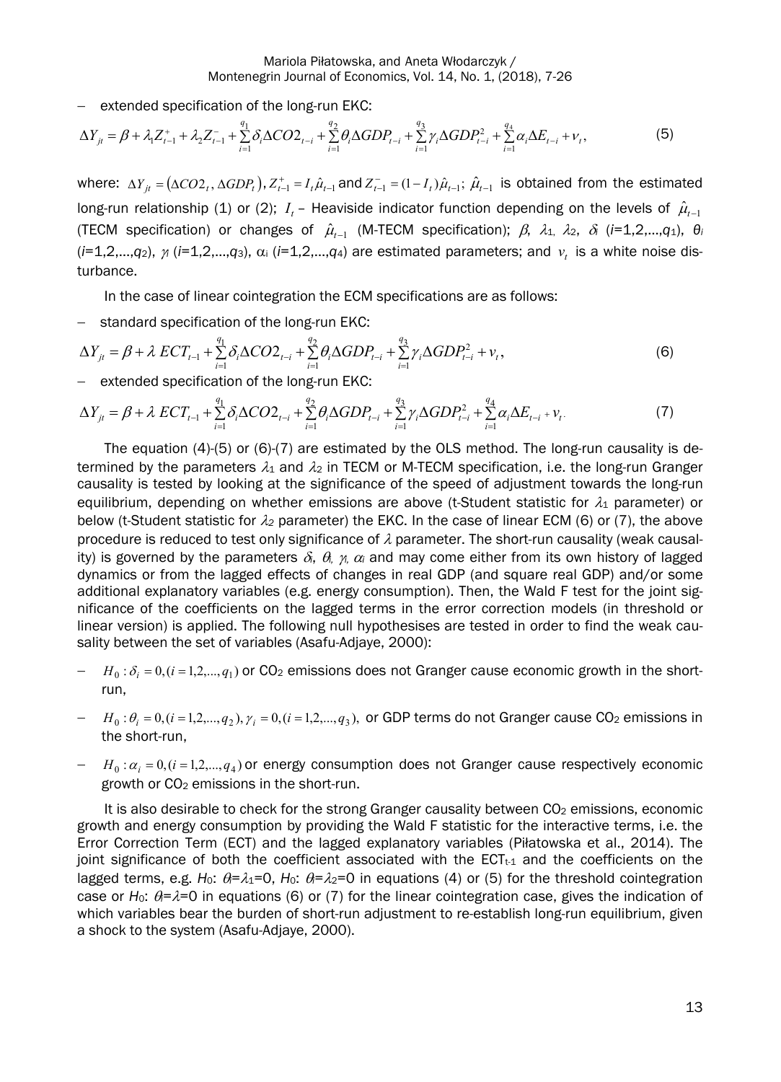$-$  extended specification of the long-run EKC:

$$
\Delta Y_{jt} = \beta + \lambda_1 Z_{t-1}^+ + \lambda_2 Z_{t-1}^- + \sum_{i=1}^{q_1} \delta_i \Delta CO2_{t-i} + \sum_{i=1}^{q_2} \theta_i \Delta GDP_{t-i} + \sum_{i=1}^{q_3} \gamma_i \Delta GDP_{t-i}^2 + \sum_{i=1}^{q_4} \alpha_i \Delta E_{t-i} + \nu_t,
$$
\n(5)

where:  $\Delta Y_{jt} = (\Delta CO2_t, \Delta GDP_t), Z_{t-1}^+ = I_t \hat{\mu}_{t-1}$  and  $Z_{t-1}^- = (1 - I_t) \hat{\mu}_{t-1}; \hat{\mu}_{t-1}$  is obtained from the estimated long-run relationship (1) or (2);  $I_t$  – Heaviside indicator function depending on the levels of  $\hat{\mu}_{t-1}$ (TECM specification) or changes of  $\hat{\mu}_{t-1}$  (M-TECM specification);  $\beta$ ,  $\lambda_1$ ,  $\lambda_2$ ,  $\delta$ <sub>i</sub> (*i*=1,2,...,*q*<sub>1</sub>),  $\theta_i$  $(i=1,2,...,q_2)$ ,  $\gamma$  ( $i=1,2,...,q_3$ ),  $\alpha_i$  ( $i=1,2,...,q_4$ ) are estimated parameters; and  $\nu_t$  is a white noise disturbance.

In the case of linear cointegration the ECM specifications are as follows:

- standard specification of the long-run EKC:

$$
\Delta Y_{jt} = \beta + \lambda ECT_{t-1} + \sum_{i=1}^{q_1} \delta_i \Delta CO2_{t-i} + \sum_{i=1}^{q_2} \theta_i \Delta GDP_{t-i} + \sum_{i=1}^{q_3} \gamma_i \Delta GDP_{t-i}^2 + \nu_t,
$$
\n(6)

 $-$  extended specification of the long-run EKC:

$$
\Delta Y_{jt} = \beta + \lambda ECT_{t-1} + \sum_{i=1}^{q_1} \delta_i \Delta CO2_{t-i} + \sum_{i=1}^{q_2} \theta_i \Delta GDP_{t-i} + \sum_{i=1}^{q_3} \gamma_i \Delta GDP_{t-i}^2 + \sum_{i=1}^{q_4} \alpha_i \Delta E_{t-i} + \nu_t.
$$
 (7)

The equation (4)-(5) or (6)-(7) are estimated by the OLS method. The long-run causality is determined by the parameters  $\lambda_1$  and  $\lambda_2$  in TECM or M-TECM specification, i.e. the long-run Granger causality is tested by looking at the significance of the speed of adjustment towards the long-run equilibrium, depending on whether emissions are above (t-Student statistic for  $\lambda_1$  parameter) or below (t-Student statistic for  $\lambda_2$  parameter) the EKC. In the case of linear ECM (6) or (7), the above procedure is reduced to test only significance of  $\lambda$  parameter. The short-run causality (weak causality) is governed by the parameters  $\delta_i$ ,  $\theta_i$ ,  $\gamma_i$ ,  $\alpha_i$  and may come either from its own history of lagged dynamics or from the lagged effects of changes in real GDP (and square real GDP) and/or some additional explanatory variables (e.g. energy consumption). Then, the Wald F test for the joint significance of the coefficients on the lagged terms in the error correction models (in threshold or linear version) is applied. The following null hypothesises are tested in order to find the weak causality between the set of variables (Asafu-Adjaye, 2000):

- $H_0: \delta_i = 0, (i = 1,2,..., q_1)$  or CO<sub>2</sub> emissions does not Granger cause economic growth in the shortrun,
- $H_0: \theta_i = 0, (i = 1,2,..., q_2), \gamma_i = 0, (i = 1,2,..., q_3),$  or GDP terms do not Granger cause CO<sub>2</sub> emissions in the short-run,
- $H_0: \alpha_i = 0, (i = 1,2,..., q_4)$  or energy consumption does not Granger cause respectively economic growth or CO<sub>2</sub> emissions in the short-run.

It is also desirable to check for the strong Granger causality between CO<sub>2</sub> emissions, economic growth and energy consumption by providing the Wald F statistic for the interactive terms, i.e. the Error Correction Term (ECT) and the lagged explanatory variables (Piłatowska et al., 2014). The joint significance of both the coefficient associated with the  $ECT_{t-1}$  and the coefficients on the lagged terms, e.g. *H*<sub>0</sub>:  $\theta = \lambda_1 = 0$ , *H*<sub>0</sub>:  $\theta = \lambda_2 = 0$  in equations (4) or (5) for the threshold cointegration case or  $H_0$ :  $\theta = \lambda = 0$  in equations (6) or (7) for the linear cointegration case, gives the indication of which variables bear the burden of short-run adjustment to re-establish long-run equilibrium, given a shock to the system (Asafu-Adjaye, 2000).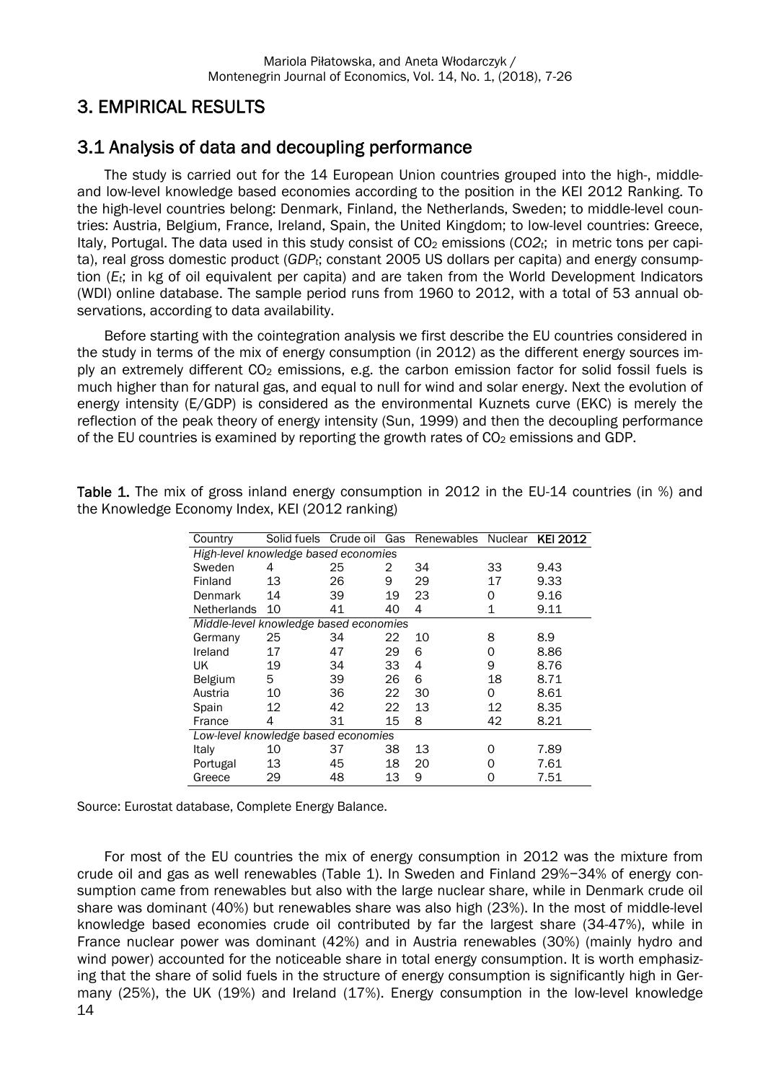# 3. EMPIRICAL RESULTS

# 3.1 Analysis of data and decoupling performance

The study is carried out for the 14 European Union countries grouped into the high-, middleand low-level knowledge based economies according to the position in the KEI 2012 Ranking. To the high-level countries belong: Denmark, Finland, the Netherlands, Sweden; to middle-level countries: Austria, Belgium, France, Ireland, Spain, the United Kingdom; to low-level countries: Greece, Italy, Portugal. The data used in this study consist of CO2 emissions (*CO2t*; in metric tons per capita), real gross domestic product (*GDPt*; constant 2005 US dollars per capita) and energy consumption (*Et*; in kg of oil equivalent per capita) and are taken from the World Development Indicators (WDI) online database. The sample period runs from 1960 to 2012, with a total of 53 annual observations, according to data availability.

Before starting with the cointegration analysis we first describe the EU countries considered in the study in terms of the mix of energy consumption (in 2012) as the different energy sources imply an extremely different CO<sub>2</sub> emissions, e.g. the carbon emission factor for solid fossil fuels is much higher than for natural gas, and equal to null for wind and solar energy. Next the evolution of energy intensity (E/GDP) is considered as the environmental Kuznets curve (EKC) is merely the reflection of the peak theory of energy intensity (Sun, 1999) and then the decoupling performance of the EU countries is examined by reporting the growth rates of CO<sub>2</sub> emissions and GDP.

| Country                                | Solid fuels Crude oil |    | Gas | Renewables Nuclear |    | <b>KEI 2012</b> |  |  |
|----------------------------------------|-----------------------|----|-----|--------------------|----|-----------------|--|--|
| High-level knowledge based economies   |                       |    |     |                    |    |                 |  |  |
| Sweden                                 | 4                     | 25 | 2   | 34                 | 33 | 9.43            |  |  |
| Finland                                | 13                    | 26 | 9   | 29                 | 17 | 9.33            |  |  |
| Denmark                                | 14                    | 39 | 19  | 23                 | Ω  | 9.16            |  |  |
| <b>Netherlands</b>                     | 10                    | 41 | 40  | 4                  | 1  | 9.11            |  |  |
| Middle-level knowledge based economies |                       |    |     |                    |    |                 |  |  |
| Germany                                | 25                    | 34 | 22  | 10                 | 8  | 8.9             |  |  |
| Ireland                                | 17                    | 47 | 29  | 6                  | 0  | 8.86            |  |  |
| UK                                     | 19                    | 34 | 33  | 4                  | 9  | 8.76            |  |  |
| <b>Belgium</b>                         | 5                     | 39 | 26  | 6                  | 18 | 8.71            |  |  |
| Austria                                | 10                    | 36 | 22  | 30                 | 0  | 8.61            |  |  |
| Spain                                  | 12                    | 42 | 22  | 13                 | 12 | 8.35            |  |  |
| France                                 | 4                     | 31 | 15  | 8                  | 42 | 8.21            |  |  |
| Low-level knowledge based economies    |                       |    |     |                    |    |                 |  |  |
| Italy                                  | 10                    | 37 | 38  | 13                 | O  | 7.89            |  |  |
| Portugal                               | 13                    | 45 | 18  | 20                 | ი  | 7.61            |  |  |
| Greece                                 | 29                    | 48 | 13  | 9                  | Ω  | 7.51            |  |  |

Table 1. The mix of gross inland energy consumption in 2012 in the EU-14 countries (in %) and the Knowledge Economy Index, KEI (2012 ranking)

Source: Eurostat database, Complete Energy Balance.

14 For most of the EU countries the mix of energy consumption in 2012 was the mixture from crude oil and gas as well renewables (Table 1). In Sweden and Finland 29%−34% of energy consumption came from renewables but also with the large nuclear share, while in Denmark crude oil share was dominant (40%) but renewables share was also high (23%). In the most of middle-level knowledge based economies crude oil contributed by far the largest share (34-47%), while in France nuclear power was dominant (42%) and in Austria renewables (30%) (mainly hydro and wind power) accounted for the noticeable share in total energy consumption. It is worth emphasizing that the share of solid fuels in the structure of energy consumption is significantly high in Germany (25%), the UK (19%) and Ireland (17%). Energy consumption in the low-level knowledge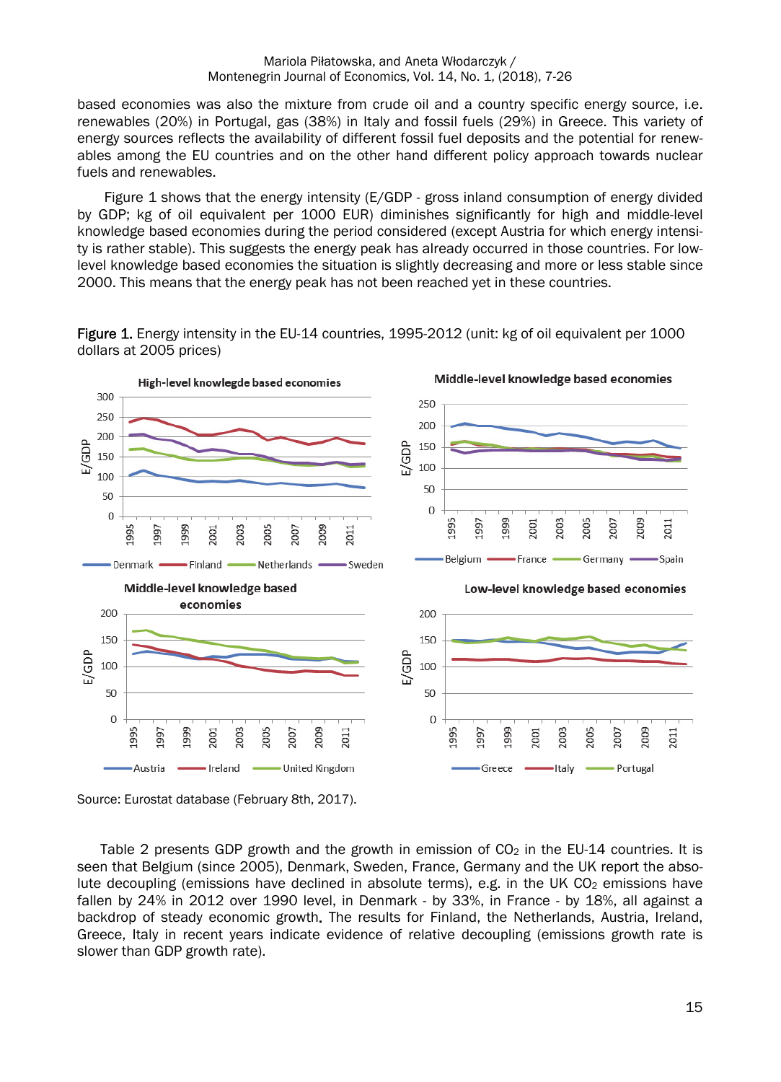based economies was also the mixture from crude oil and a country specific energy source, i.e. renewables (20%) in Portugal, gas (38%) in Italy and fossil fuels (29%) in Greece. This variety of energy sources reflects the availability of different fossil fuel deposits and the potential for renewables among the EU countries and on the other hand different policy approach towards nuclear fuels and renewables.

Figure 1 shows that the energy intensity (E/GDP - gross inland consumption of energy divided by GDP; kg of oil equivalent per 1000 EUR) diminishes significantly for high and middle-level knowledge based economies during the period considered (except Austria for which energy intensity is rather stable). This suggests the energy peak has already occurred in those countries. For lowlevel knowledge based economies the situation is slightly decreasing and more or less stable since 2000. This means that the energy peak has not been reached yet in these countries.

Figure 1. Energy intensity in the EU-14 countries, 1995-2012 (unit: kg of oil equivalent per 1000 dollars at 2005 prices)



Source: Eurostat database (February 8th, 2017).

Table 2 presents GDP growth and the growth in emission of  $CO<sub>2</sub>$  in the EU-14 countries. It is seen that Belgium (since 2005), Denmark, Sweden, France, Germany and the UK report the absolute decoupling (emissions have declined in absolute terms), e.g. in the UK  $CO<sub>2</sub>$  emissions have fallen by 24% in 2012 over 1990 level, in Denmark - by 33%, in France - by 18%, all against a backdrop of steady economic growth. The results for Finland, the Netherlands, Austria, Ireland, Greece, Italy in recent years indicate evidence of relative decoupling (emissions growth rate is slower than GDP growth rate).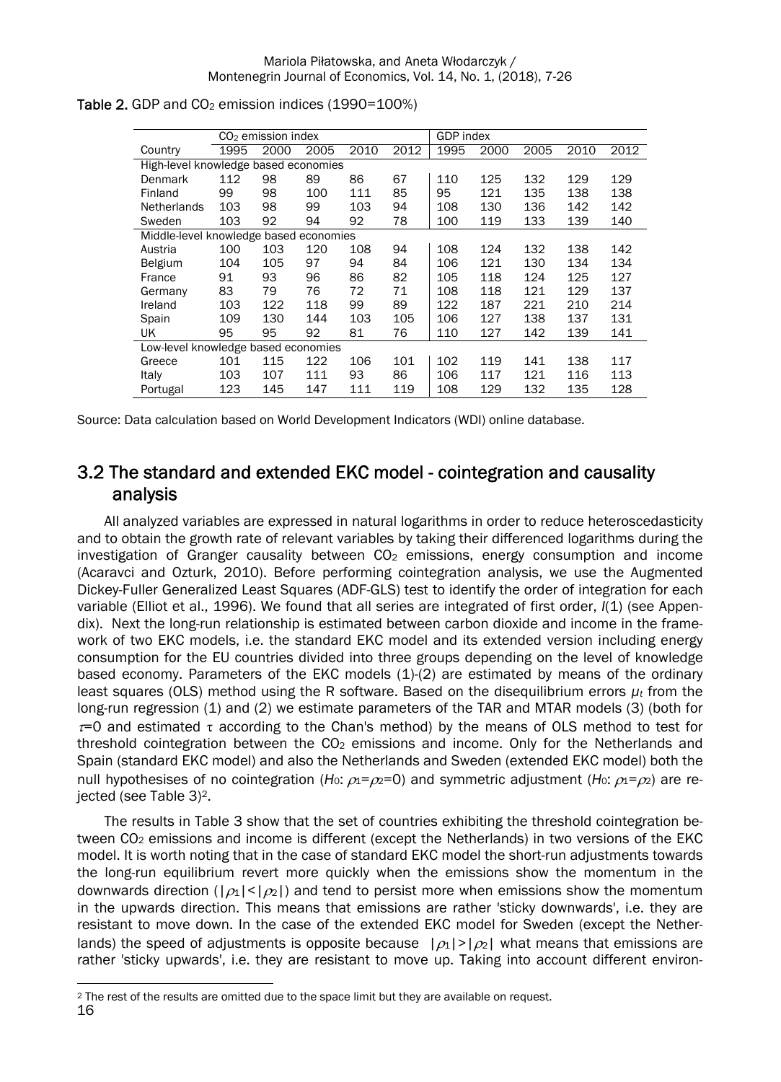|                                        | CO <sub>2</sub> emission index |      |      |      | GDP index |      |      |      |      |      |
|----------------------------------------|--------------------------------|------|------|------|-----------|------|------|------|------|------|
| Country                                | 1995                           | 2000 | 2005 | 2010 | 2012      | 1995 | 2000 | 2005 | 2010 | 2012 |
| High-level knowledge based economies   |                                |      |      |      |           |      |      |      |      |      |
| Denmark                                | 112                            | 98   | 89   | 86   | 67        | 110  | 125  | 132  | 129  | 129  |
| Finland                                | 99                             | 98   | 100  | 111  | 85        | 95   | 121  | 135  | 138  | 138  |
| <b>Netherlands</b>                     | 103                            | 98   | 99   | 103  | 94        | 108  | 130  | 136  | 142  | 142  |
| Sweden                                 | 103                            | 92   | 94   | 92   | 78        | 100  | 119  | 133  | 139  | 140  |
| Middle-level knowledge based economies |                                |      |      |      |           |      |      |      |      |      |
| Austria                                | 100                            | 103  | 120  | 108  | 94        | 108  | 124  | 132  | 138  | 142  |
| <b>Belgium</b>                         | 104                            | 105  | 97   | 94   | 84        | 106  | 121  | 130  | 134  | 134  |
| France                                 | 91                             | 93   | 96   | 86   | 82        | 105  | 118  | 124  | 125  | 127  |
| Germany                                | 83                             | 79   | 76   | 72   | 71        | 108  | 118  | 121  | 129  | 137  |
| Ireland                                | 103                            | 122  | 118  | 99   | 89        | 122  | 187  | 221  | 210  | 214  |
| Spain                                  | 109                            | 130  | 144  | 103  | 105       | 106  | 127  | 138  | 137  | 131  |
| UK                                     | 95                             | 95   | 92   | 81   | 76        | 110  | 127  | 142  | 139  | 141  |
| Low-level knowledge based economies    |                                |      |      |      |           |      |      |      |      |      |
| Greece                                 | 101                            | 115  | 122  | 106  | 101       | 102  | 119  | 141  | 138  | 117  |
| Italy                                  | 103                            | 107  | 111  | 93   | 86        | 106  | 117  | 121  | 116  | 113  |
| Portugal                               | 123                            | 145  | 147  | 111  | 119       | 108  | 129  | 132  | 135  | 128  |

### Table 2. GDP and  $CO<sub>2</sub>$  emission indices (1990=100%)

Source: Data calculation based on World Development Indicators (WDI) online database.

### 3.2 The standard and extended EKC model - cointegration and causality analysis

All analyzed variables are expressed in natural logarithms in order to reduce heteroscedasticity and to obtain the growth rate of relevant variables by taking their differenced logarithms during the investigation of Granger causality between CO2 emissions, energy consumption and income (Acaravci and Ozturk, 2010). Before performing cointegration analysis, we use the Augmented Dickey-Fuller Generalized Least Squares (ADF-GLS) test to identify the order of integration for each variable (Elliot et al., 1996). We found that all series are integrated of first order, *I*(1) (see Appendix). Next the long-run relationship is estimated between carbon dioxide and income in the framework of two EKC models, i.e. the standard EKC model and its extended version including energy consumption for the EU countries divided into three groups depending on the level of knowledge based economy. Parameters of the EKC models (1)-(2) are estimated by means of the ordinary least squares (OLS) method using the R software. Based on the disequilibrium errors *µt* from the long-run regression (1) and (2) we estimate parameters of the TAR and MTAR models (3) (both for  $\tau$ =0 and estimated  $\tau$  according to the Chan's method) by the means of OLS method to test for threshold cointegration between the  $CO<sub>2</sub>$  emissions and income. Only for the Netherlands and Spain (standard EKC model) and also the Netherlands and Sweden (extended EKC model) both the null hypothesises of no cointegration (*H*<sub>0</sub>:  $\rho_1 = \rho_2 = 0$ ) and symmetric adjustment (*H*<sub>0</sub>:  $\rho_1 = \rho_2$ ) are rejected (see Table 3)2.

The results in Table 3 show that the set of countries exhibiting the threshold cointegration between CO2 emissions and income is different (except the Netherlands) in two versions of the EKC model. It is worth noting that in the case of standard EKC model the short-run adjustments towards the long-run equilibrium revert more quickly when the emissions show the momentum in the downwards direction ( $|\rho_1|<|\rho_2|$ ) and tend to persist more when emissions show the momentum in the upwards direction. This means that emissions are rather 'sticky downwards', i.e. they are resistant to move down. In the case of the extended EKC model for Sweden (except the Netherlands) the speed of adjustments is opposite because  $|\rho_1\rangle |\rho_2|$  what means that emissions are rather 'sticky upwards', i.e. they are resistant to move up. Taking into account different environ-

 $\overline{a}$ 2 The rest of the results are omitted due to the space limit but they are available on request.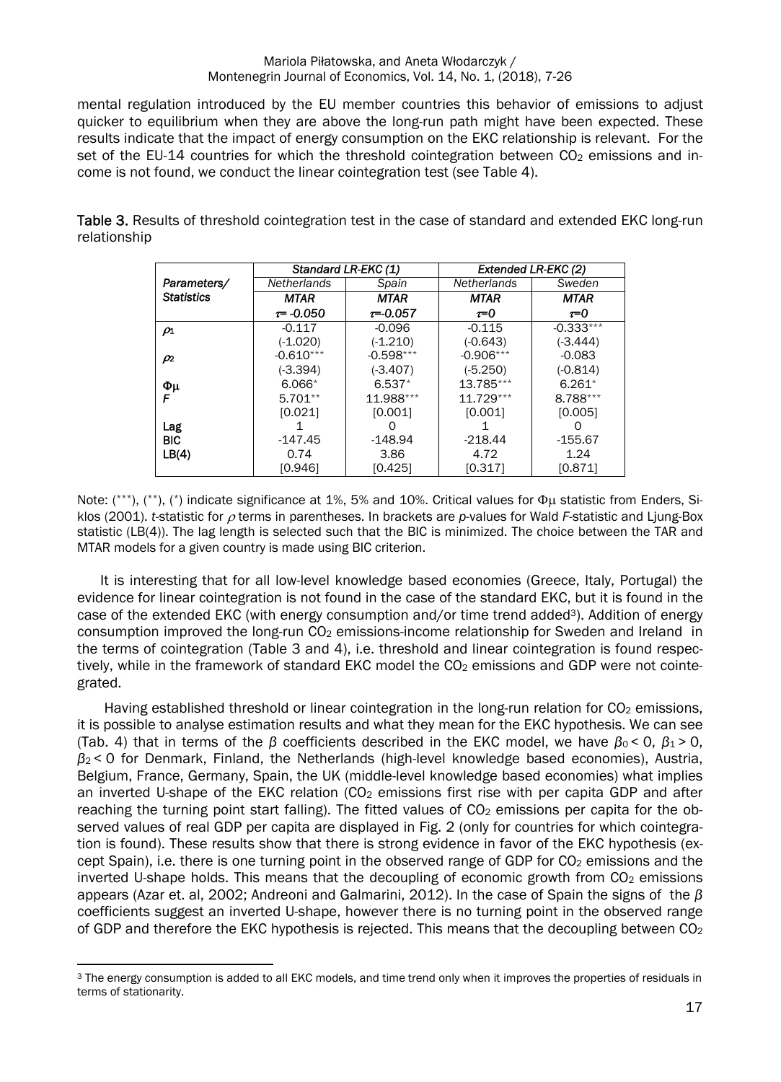mental regulation introduced by the EU member countries this behavior of emissions to adjust quicker to equilibrium when they are above the long-run path might have been expected. These results indicate that the impact of energy consumption on the EKC relationship is relevant. For the set of the EU-14 countries for which the threshold cointegration between  $CO<sub>2</sub>$  emissions and income is not found, we conduct the linear cointegration test (see Table 4).

Table 3. Results of threshold cointegration test in the case of standard and extended EKC long-run relationship

|                   |                    | Standard LR-EKC (1) |                    | Extended LR-EKC (2) |
|-------------------|--------------------|---------------------|--------------------|---------------------|
| Parameters/       | <b>Netherlands</b> | Spain               | <b>Netherlands</b> | Sweden              |
| <b>Statistics</b> | <b>MTAR</b>        | <b>MTAR</b>         | <b>MTAR</b>        | <b>MTAR</b>         |
|                   | $\tau = -0.050$    | $\tau = 0.057$      | $\tau = 0$         | $\tau = 0$          |
| $\rho_1$          | $-0.117$           | $-0.096$            | $-0.115$           | $-0.333***$         |
|                   | $(-1.020)$         | $(-1.210)$          | $(-0.643)$         | $(-3.444)$          |
| $\rho_2$          | $-0.610***$        | $-0.598***$         | $-0.906***$        | $-0.083$            |
|                   | $(-3.394)$         | $(-3.407)$          | $(-5.250)$         | $(-0.814)$          |
| Φμ                | $6.066*$           | $6.537*$            | 13.785***          | $6.261*$            |
|                   | $5.701**$          | 11.988***           | $11.729***$        | 8.788***            |
|                   | [0.021]            | [0.001]             | [0.001]            | [0.005]             |
| Lag               |                    |                     |                    |                     |
| <b>BIC</b>        | $-147.45$          | $-148.94$           | $-218.44$          | $-155.67$           |
| LB(4)             | 0.74               | 3.86                | 4.72               | 1.24                |
|                   | [0.946]            | [0.425]             | [0.317]            | [0.871]             |

Note:  $(^{***})$ ,  $(^{**})$ ,  $(^{*})$  indicate significance at 1%, 5% and 10%. Critical values for  $\Phi$ u statistic from Enders, Siklos (2001). *t*-statistic for  $\rho$  terms in parentheses. In brackets are *p*-values for Wald *F*-statistic and Liung-Box statistic (LB(4)). The lag length is selected such that the BIC is minimized. The choice between the TAR and MTAR models for a given country is made using BIC criterion.

It is interesting that for all low-level knowledge based economies (Greece, Italy, Portugal) the evidence for linear cointegration is not found in the case of the standard EKC, but it is found in the case of the extended EKC (with energy consumption and/or time trend added<sup>3</sup>). Addition of energy consumption improved the long-run  $CO<sub>2</sub>$  emissions-income relationship for Sweden and Ireland in the terms of cointegration (Table 3 and 4), i.e. threshold and linear cointegration is found respectively, while in the framework of standard EKC model the CO<sub>2</sub> emissions and GDP were not cointegrated.

Having established threshold or linear cointegration in the long-run relation for  $CO<sub>2</sub>$  emissions, it is possible to analyse estimation results and what they mean for the EKC hypothesis. We can see (Tab. 4) that in terms of the *β* coefficients described in the EKC model, we have  $\beta_0 < 0$ ,  $\beta_1 > 0$ , *β*2 < 0 for Denmark, Finland, the Netherlands (high-level knowledge based economies), Austria, Belgium, France, Germany, Spain, the UK (middle-level knowledge based economies) what implies an inverted U-shape of the EKC relation ( $CO<sub>2</sub>$  emissions first rise with per capita GDP and after reaching the turning point start falling). The fitted values of  $CO<sub>2</sub>$  emissions per capita for the observed values of real GDP per capita are displayed in Fig. 2 (only for countries for which cointegration is found). These results show that there is strong evidence in favor of the EKC hypothesis (except Spain), i.e. there is one turning point in the observed range of GDP for CO<sub>2</sub> emissions and the inverted U-shape holds. This means that the decoupling of economic growth from  $CO<sub>2</sub>$  emissions appears (Azar et. al, 2002; Andreoni and Galmarini, 2012). In the case of Spain the signs of the *β* coefficients suggest an inverted U-shape, however there is no turning point in the observed range of GDP and therefore the EKC hypothesis is rejected. This means that the decoupling between CO<sub>2</sub>

 $\overline{a}$ <sup>3</sup> The energy consumption is added to all EKC models, and time trend only when it improves the properties of residuals in terms of stationarity.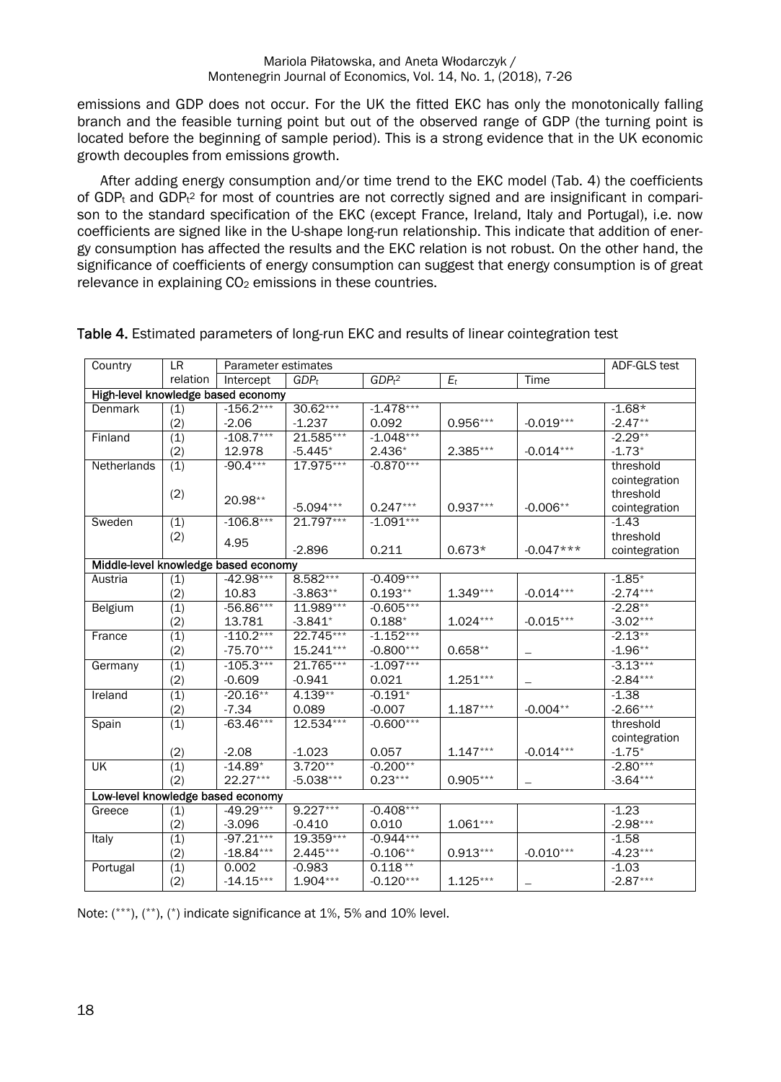emissions and GDP does not occur. For the UK the fitted EKC has only the monotonically falling branch and the feasible turning point but out of the observed range of GDP (the turning point is located before the beginning of sample period). This is a strong evidence that in the UK economic growth decouples from emissions growth.

After adding energy consumption and/or time trend to the EKC model (Tab. 4) the coefficients of GDP<sub>t</sub> and GDP<sub>t</sub><sup>2</sup> for most of countries are not correctly signed and are insignificant in comparison to the standard specification of the EKC (except France, Ireland, Italy and Portugal), i.e. now coefficients are signed like in the U-shape long-run relationship. This indicate that addition of energy consumption has affected the results and the EKC relation is not robust. On the other hand, the significance of coefficients of energy consumption can suggest that energy consumption is of great relevance in explaining CO<sub>2</sub> emissions in these countries.

| Country                              | LR               | Parameter estimates | ADF-GLS test     |                     |            |             |               |
|--------------------------------------|------------------|---------------------|------------------|---------------------|------------|-------------|---------------|
|                                      | relation         | Intercept           | GDP <sub>t</sub> | $GDPt$ <sup>2</sup> | $E_t$      | Time        |               |
| High-level knowledge based economy   |                  |                     |                  |                     |            |             |               |
| Denmark                              | (1)              | $-156.2***$         | $30.62***$       | $-1.478***$         |            |             | $-1.68*$      |
|                                      | (2)              | $-2.06$             | $-1.237$         | 0.092               | 0.956***   | $-0.019***$ | $-2.47**$     |
| Finland                              | $\overline{(1)}$ | $-108.7***$         | 21.585***        | $-1.048***$         |            |             | $-2.29**$     |
|                                      | (2)              | 12.978              | $-5.445*$        | $2.436*$            | 2.385***   | $-0.014***$ | $-1.73*$      |
| Netherlands                          | (1)              | $-90.4***$          | 17.975***        | $-0.870***$         |            |             | threshold     |
|                                      |                  |                     |                  |                     |            |             | cointegration |
|                                      | (2)              | 20.98**             |                  |                     |            |             | threshold     |
|                                      |                  |                     | $-5.094***$      | $0.247***$          | $0.937***$ | $-0.006**$  | cointegration |
| Sweden                               | (1)              | $-106.8***$         | 21.797***        | $-1.091***$         |            |             | $-1.43$       |
|                                      | (2)              | 4.95                |                  |                     |            |             | threshold     |
|                                      |                  |                     | $-2.896$         | 0.211               | $0.673*$   | $-0.047***$ | cointegration |
| Middle-level knowledge based economy |                  |                     |                  |                     |            |             |               |
| Austria                              | (1)              | $-42.98***$         | 8.582***         | $-0.409***$         |            |             | $-1.85*$      |
|                                      | (2)              | 10.83               | $-3.863**$       | $0.193**$           | $1.349***$ | $-0.014***$ | $-2.74***$    |
| <b>Belgium</b>                       | (1)              | $-56.86***$         | 11.989***        | $-0.605***$         |            |             | $-2.28**$     |
|                                      | (2)              | 13.781              | $-3.841*$        | $0.188*$            | $1.024***$ | $-0.015***$ | $-3.02***$    |
| France                               | (1)              | $-110.2***$         | 22.745***        | $-1.152***$         |            |             | $-2.13**$     |
|                                      | (2)              | $-75.70***$         | 15.241***        | $-0.800***$         | $0.658**$  | -           | $-1.96**$     |
| Germany                              | $\overline{(1)}$ | $-105.3***$         | 21.765***        | $-1.097***$         |            |             | $-3.13***$    |
|                                      | (2)              | $-0.609$            | $-0.941$         | 0.021               | $1.251***$ | —           | $-2.84***$    |
| Ireland                              | $\overline{(1)}$ | $-20.16**$          | $4.139**$        | $-0.191*$           |            |             | $-1.38$       |
|                                      | (2)              | $-7.34$             | 0.089            | $-0.007$            | $1.187***$ | $-0.004**$  | $-2.66***$    |
| Spain                                | (1)              | $-63.46***$         | 12.534***        | $-0.600***$         |            |             | threshold     |
|                                      |                  |                     |                  |                     |            |             | cointegration |
|                                      | (2)              | $-2.08$             | $-1.023$         | 0.057               | $1.147***$ | $-0.014***$ | $-1.75*$      |
| UK                                   | (1)              | $-14.89*$           | $3.720**$        | $-0.200**$          |            |             | $-2.80***$    |
|                                      | (2)              | $22.27***$          | $-5.038***$      | $0.23***$           | $0.905***$ |             | $-3.64***$    |
| Low-level knowledge based economy    |                  |                     |                  |                     |            |             |               |
| Greece                               | (1)              | $-49.29***$         | $9.227***$       | $-0.408***$         |            |             | $-1.23$       |
|                                      | (2)              | $-3.096$            | $-0.410$         | 0.010               | $1.061***$ |             | $-2.98***$    |
| Italy                                | (1)              | $-97.21***$         | 19.359***        | $-0.944***$         |            |             | $-1.58$       |
|                                      | (2)              | $-18.84***$         | $2.445***$       | $-0.106**$          | $0.913***$ | $-0.010***$ | $-4.23***$    |
| Portugal                             | (1)              | 0.002               | $-0.983$         | $0.118**$           |            |             | $-1.03$       |
|                                      | (2)              | $-14.15***$         | 1.904***         | $-0.120***$         | $1.125***$ |             | $-2.87***$    |

### Table 4. Estimated parameters of long-run EKC and results of linear cointegration test

Note:  $(***$ ),  $(*)$ ,  $(*)$  indicate significance at 1%, 5% and 10% level.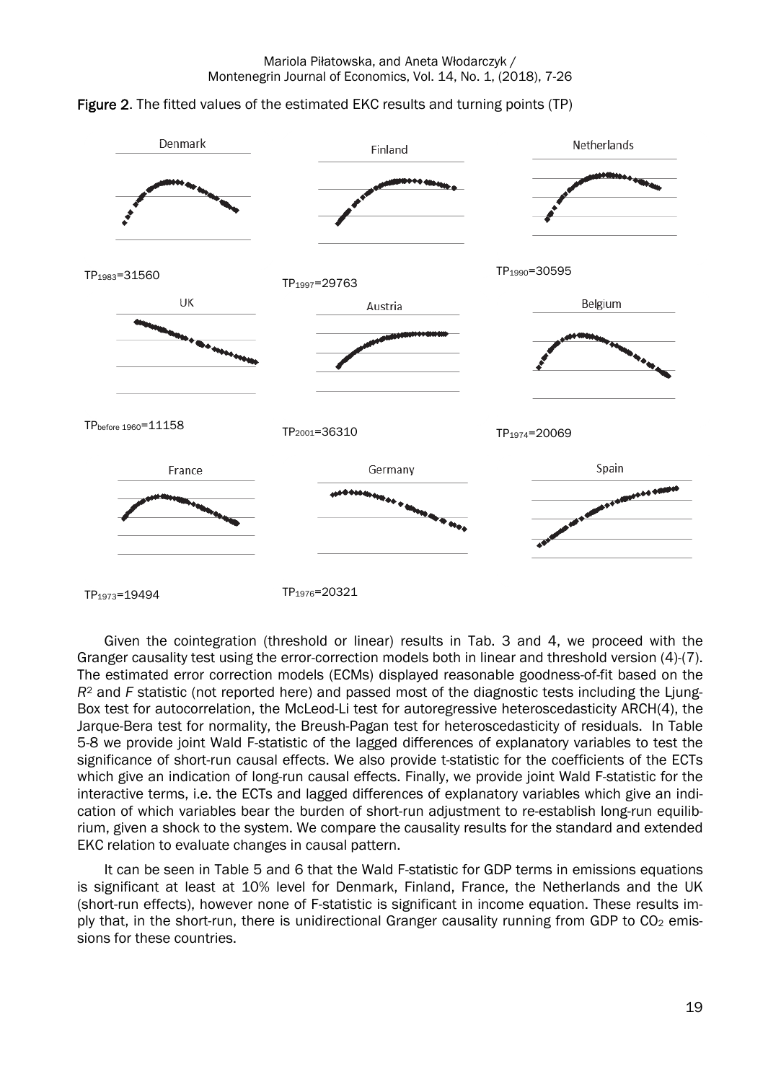



TP<sub>1973</sub>=19494 TP<sub>1976</sub>=20321

Given the cointegration (threshold or linear) results in Tab. 3 and 4, we proceed with the Granger causality test using the error-correction models both in linear and threshold version (4)-(7). The estimated error correction models (ECMs) displayed reasonable goodness-of-fit based on the *R*2 and *F* statistic (not reported here) and passed most of the diagnostic tests including the Ljung-Box test for autocorrelation, the McLeod-Li test for autoregressive heteroscedasticity ARCH(4), the Jarque-Bera test for normality, the Breush-Pagan test for heteroscedasticity of residuals. In Table 5-8 we provide joint Wald F-statistic of the lagged differences of explanatory variables to test the significance of short-run causal effects. We also provide t-statistic for the coefficients of the ECTs which give an indication of long-run causal effects. Finally, we provide joint Wald F-statistic for the interactive terms, i.e. the ECTs and lagged differences of explanatory variables which give an indication of which variables bear the burden of short-run adjustment to re-establish long-run equilibrium, given a shock to the system. We compare the causality results for the standard and extended EKC relation to evaluate changes in causal pattern.

It can be seen in Table 5 and 6 that the Wald F-statistic for GDP terms in emissions equations is significant at least at 10% level for Denmark, Finland, France, the Netherlands and the UK (short-run effects), however none of F-statistic is significant in income equation. These results imply that, in the short-run, there is unidirectional Granger causality running from GDP to  $CO<sub>2</sub>$  emissions for these countries.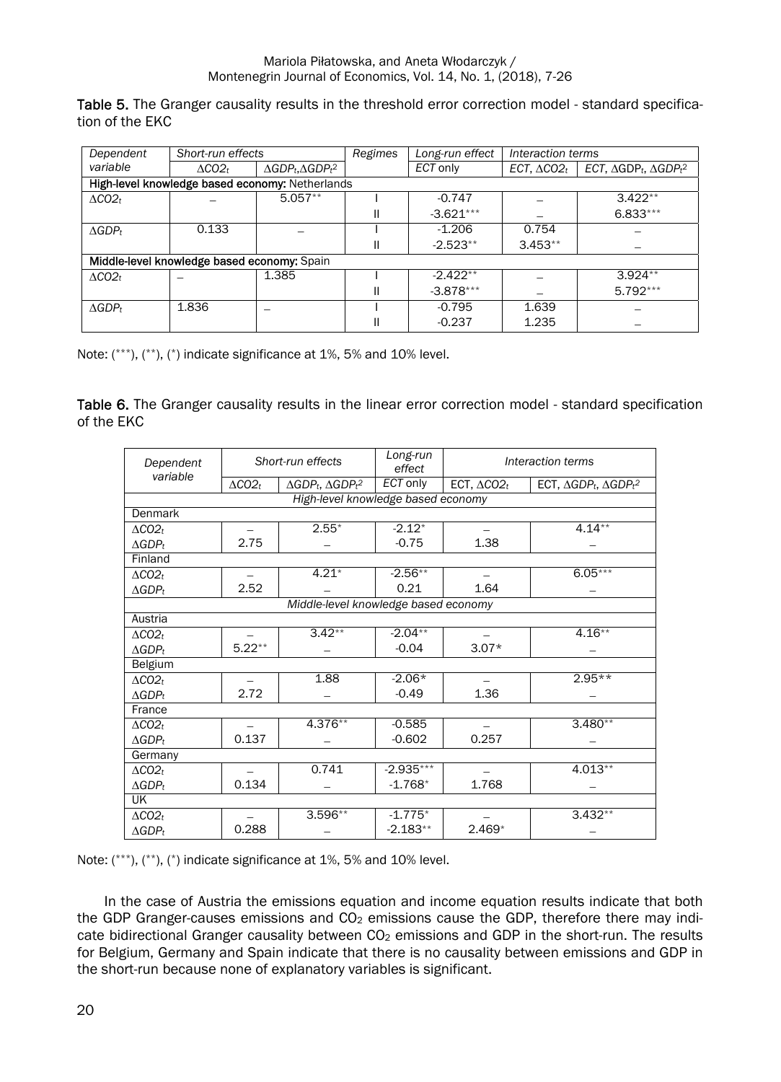Table 5. The Granger causality results in the threshold error correction model - standard specification of the EKC

| Dependent           | Short-run effects                           |                                                 | Regimes | Long-run effect | Interaction terms   |                                        |
|---------------------|---------------------------------------------|-------------------------------------------------|---------|-----------------|---------------------|----------------------------------------|
| variable            | $\Lambda CO2_t$                             | $\triangle GDP_t$ , $\triangle GDP_t^2$         |         | ECT only        | ECT, $\Delta CO2_t$ | ECT, $\Delta GDP_t$ , $\Delta GDP_t^2$ |
|                     |                                             | High-level knowledge based economy: Netherlands |         |                 |                     |                                        |
| $\Delta CO2_t$      |                                             | $5.057**$                                       |         | $-0.747$        |                     | $3.422**$                              |
|                     |                                             |                                                 |         | $-3.621***$     |                     | $6.833***$                             |
| $\triangle GDP_t$   | 0.133                                       |                                                 |         | $-1.206$        | 0.754               |                                        |
|                     |                                             |                                                 |         | $-2.523**$      | $3.453**$           |                                        |
|                     | Middle-level knowledge based economy: Spain |                                                 |         |                 |                     |                                        |
| $\triangle CO2_{t}$ |                                             | 1.385                                           |         | $-2.422**$      |                     | $3.924**$                              |
|                     |                                             |                                                 |         | $-3.878***$     |                     | $5.792***$                             |
| $\triangle GDP_t$   | 1.836                                       |                                                 |         | $-0.795$        | 1.639               |                                        |
|                     |                                             |                                                 |         | $-0.237$        | 1.235               |                                        |

Note: (\*\*\*), (\*\*), (\*) indicate significance at 1%, 5% and 10% level.

Table 6. The Granger causality results in the linear error correction model - standard specification of the EKC

| Dependent                            |                   | Short-run effects                 | Long-run<br>effect | Interaction terms      |                                              |  |  |  |  |  |
|--------------------------------------|-------------------|-----------------------------------|--------------------|------------------------|----------------------------------------------|--|--|--|--|--|
| variable                             | $\triangle CO2_t$ | $\Delta GDP_t$ , $\Delta GDP_t^2$ | <b>ECT</b> only    | ECT, $\triangle CO2_t$ | ECT, $\triangle GDP_t$ , $\triangle GDP_t^2$ |  |  |  |  |  |
| High-level knowledge based economy   |                   |                                   |                    |                        |                                              |  |  |  |  |  |
| Denmark                              |                   |                                   |                    |                        |                                              |  |  |  |  |  |
| $\Delta CO2_t$                       |                   | $2.55*$                           | $-2.12*$           |                        | $4.14**$                                     |  |  |  |  |  |
| $\triangle GDP_t$                    | 2.75              |                                   | $-0.75$            | 1.38                   |                                              |  |  |  |  |  |
| Finland                              |                   |                                   |                    |                        |                                              |  |  |  |  |  |
| $\Delta CO2_t$                       |                   | $4.21*$                           | $-2.56**$          |                        | $6.05***$                                    |  |  |  |  |  |
| $\Delta GDP_t$                       | 2.52              |                                   | 0.21               | 1.64                   |                                              |  |  |  |  |  |
| Middle-level knowledge based economy |                   |                                   |                    |                        |                                              |  |  |  |  |  |
| Austria                              |                   |                                   |                    |                        |                                              |  |  |  |  |  |
| $\Delta CO2_t$                       |                   | $3.42**$                          | $-2.04**$          |                        | $4.16**$                                     |  |  |  |  |  |
| $\triangle GDP_t$                    | $5.22**$          |                                   | $-0.04$            | $3.07*$                |                                              |  |  |  |  |  |
| Belgium                              |                   |                                   |                    |                        |                                              |  |  |  |  |  |
| $\Delta CO2_t$                       |                   | 1.88                              | $-2.06*$           |                        | $2.95**$                                     |  |  |  |  |  |
| $\triangle GDP_t$                    | 2.72              |                                   | $-0.49$            | 1.36                   |                                              |  |  |  |  |  |
| France                               |                   |                                   |                    |                        |                                              |  |  |  |  |  |
| $\triangle CO2_{t}$                  |                   | 4.376**                           | $-0.585$           |                        | $3.480**$                                    |  |  |  |  |  |
| $\triangle GDP_t$                    | 0.137             |                                   | $-0.602$           | 0.257                  |                                              |  |  |  |  |  |
| Germany                              |                   |                                   |                    |                        |                                              |  |  |  |  |  |
| $\Delta CO2_t$                       |                   | 0.741                             | $-2.935***$        |                        | 4.013**                                      |  |  |  |  |  |
| $AGDP_t$                             | 0.134             |                                   | $-1.768*$          | 1.768                  |                                              |  |  |  |  |  |
| <b>UK</b>                            |                   |                                   |                    |                        |                                              |  |  |  |  |  |
| $\triangle CO2_t$                    |                   | 3.596**                           | $-1.775*$          |                        | $3.432**$                                    |  |  |  |  |  |
| $\triangle GDP_t$                    | 0.288             |                                   | $-2.183**$         | $2.469*$               |                                              |  |  |  |  |  |

Note: (\*\*\*), (\*\*), (\*) indicate significance at 1%, 5% and 10% level.

In the case of Austria the emissions equation and income equation results indicate that both the GDP Granger-causes emissions and  $CO<sub>2</sub>$  emissions cause the GDP, therefore there may indicate bidirectional Granger causality between CO<sub>2</sub> emissions and GDP in the short-run. The results for Belgium, Germany and Spain indicate that there is no causality between emissions and GDP in the short-run because none of explanatory variables is significant.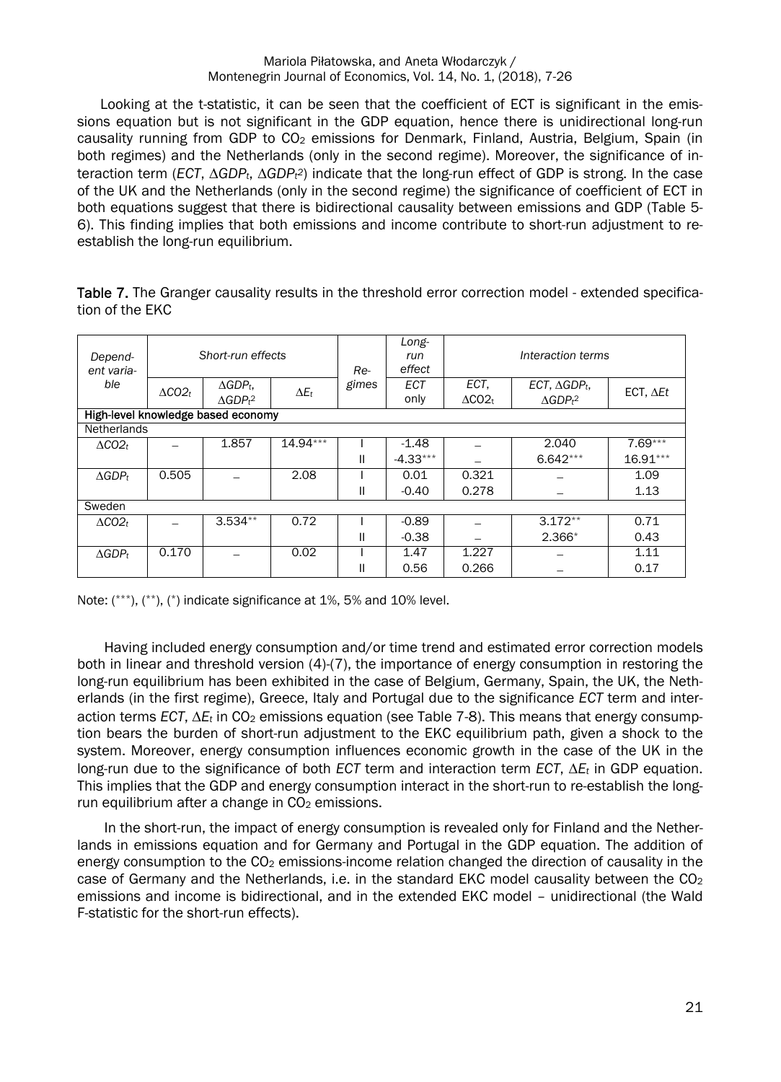Looking at the t-statistic, it can be seen that the coefficient of ECT is significant in the emissions equation but is not significant in the GDP equation, hence there is unidirectional long-run causality running from GDP to CO<sub>2</sub> emissions for Denmark, Finland, Austria, Belgium, Spain (in both regimes) and the Netherlands (only in the second regime). Moreover, the significance of interaction term (*ECT*, *GDPt*, *GDPt <sup>2</sup>*) indicate that the long-run effect of GDP is strong. In the case of the UK and the Netherlands (only in the second regime) the significance of coefficient of ECT in both equations suggest that there is bidirectional causality between emissions and GDP (Table 5- 6). This finding implies that both emissions and income contribute to short-run adjustment to reestablish the long-run equilibrium.

Table 7. The Granger causality results in the threshold error correction model - extended specification of the EKC

| Depend-<br>ent varia- | Short-run effects |                                    | Re-          | Long-<br>run<br>effect | Interaction terms |                  |                               |                   |
|-----------------------|-------------------|------------------------------------|--------------|------------------------|-------------------|------------------|-------------------------------|-------------------|
| ble                   | $\triangle CO2_t$ | $\Delta GDP_t$                     | $\Delta E_t$ | gimes                  | <b>ECT</b>        | ECT.             | ECT, $\triangle GDP_t$ ,      | ECT, $\Delta E t$ |
|                       |                   | AGDP <sub>t</sub> 2                |              |                        | only              | $\Delta CO2_{t}$ | $\triangle GDPt$ <sup>2</sup> |                   |
|                       |                   | High-level knowledge based economy |              |                        |                   |                  |                               |                   |
| <b>Netherlands</b>    |                   |                                    |              |                        |                   |                  |                               |                   |
| $\triangle CO2_t$     |                   | 1.857                              | $14.94***$   |                        | $-1.48$           |                  | 2.040                         | $7.69***$         |
|                       |                   |                                    |              | Ш                      | $-4.33***$        |                  | $6.642***$                    | $16.91***$        |
| $\triangle GDP_t$     | 0.505             |                                    | 2.08         |                        | 0.01              | 0.321            |                               | 1.09              |
|                       |                   |                                    |              | Ш                      | $-0.40$           | 0.278            |                               | 1.13              |
| Sweden                |                   |                                    |              |                        |                   |                  |                               |                   |
| $\triangle CO2_t$     |                   | $3.534**$                          | 0.72         |                        | $-0.89$           |                  | $3.172**$                     | 0.71              |
|                       |                   |                                    |              | Ш                      | $-0.38$           |                  | $2.366*$                      | 0.43              |
| $\triangle GDP_t$     | 0.170             |                                    | 0.02         |                        | 1.47              | 1.227            |                               | 1.11              |
|                       |                   |                                    |              | Ш                      | 0.56              | 0.266            |                               | 0.17              |

Note: (\*\*\*), (\*\*), (\*) indicate significance at 1%, 5% and 10% level.

Having included energy consumption and/or time trend and estimated error correction models both in linear and threshold version (4)-(7), the importance of energy consumption in restoring the long-run equilibrium has been exhibited in the case of Belgium, Germany, Spain, the UK, the Netherlands (in the first regime), Greece, Italy and Portugal due to the significance *ECT* term and interaction terms *ECT*,  $\Delta E_t$  in CO<sub>2</sub> emissions equation (see Table 7-8). This means that energy consumption bears the burden of short-run adjustment to the EKC equilibrium path, given a shock to the system. Moreover, energy consumption influences economic growth in the case of the UK in the long-run due to the significance of both *ECT* term and interaction term *ECT*, *Et* in GDP equation. This implies that the GDP and energy consumption interact in the short-run to re-establish the longrun equilibrium after a change in  $CO<sub>2</sub>$  emissions.

In the short-run, the impact of energy consumption is revealed only for Finland and the Netherlands in emissions equation and for Germany and Portugal in the GDP equation. The addition of energy consumption to the CO<sub>2</sub> emissions-income relation changed the direction of causality in the case of Germany and the Netherlands, i.e. in the standard EKC model causality between the  $CO<sub>2</sub>$ emissions and income is bidirectional, and in the extended EKC model – unidirectional (the Wald F-statistic for the short-run effects).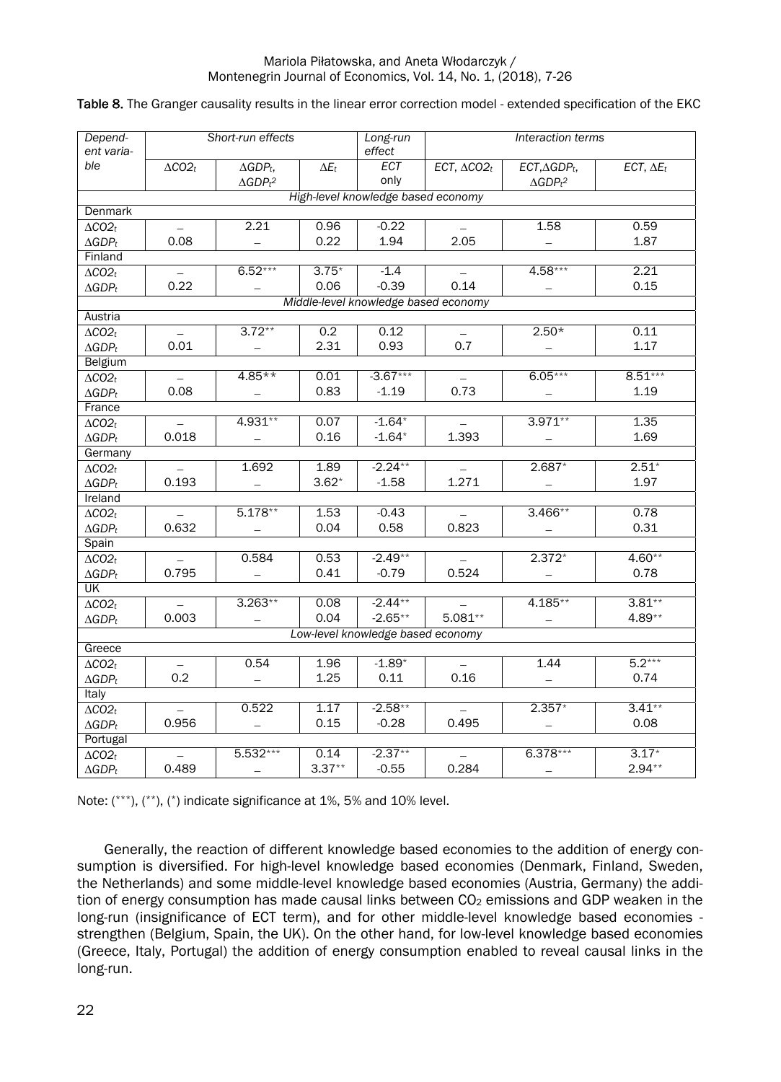| Depend-<br>ent varia- |                                    | Short-run effects             |                         | Long-run<br>effect                   |                                   | Interaction terms             |                   |  |  |  |  |
|-----------------------|------------------------------------|-------------------------------|-------------------------|--------------------------------------|-----------------------------------|-------------------------------|-------------------|--|--|--|--|
| ble                   | $\triangle CO2_t$                  | $\triangle GDP_t$ ,           | $\overline{\Delta E_t}$ | ECT                                  | $\overline{ECT, \triangle CO2_t}$ | $ECT, \triangle GDP_t,$       | $ECT, \Delta E_t$ |  |  |  |  |
|                       |                                    | $\triangle GDPt$ <sup>2</sup> |                         | only                                 |                                   | $\triangle GDPt$ <sup>2</sup> |                   |  |  |  |  |
|                       | High-level knowledge based economy |                               |                         |                                      |                                   |                               |                   |  |  |  |  |
| Denmark               |                                    |                               |                         |                                      |                                   |                               |                   |  |  |  |  |
| $\triangle CO2_t$     |                                    | 2.21                          | 0.96                    | $-0.22$                              |                                   | 1.58                          | 0.59              |  |  |  |  |
| $\triangle GDP_t$     | 0.08                               |                               | 0.22                    | 1.94                                 | 2.05                              |                               | 1.87              |  |  |  |  |
| Finland               |                                    |                               |                         |                                      |                                   |                               |                   |  |  |  |  |
| $\Delta CO2_t$        |                                    | $6.52***$                     | $3.75*$                 | $-1.4$                               |                                   | 4.58***                       | 2.21              |  |  |  |  |
| $\triangle GDP_t$     | 0.22                               |                               | 0.06                    | $-0.39$                              | 0.14                              |                               | 0.15              |  |  |  |  |
|                       |                                    |                               |                         | Middle-level knowledge based economy |                                   |                               |                   |  |  |  |  |
| Austria               |                                    |                               |                         |                                      |                                   |                               |                   |  |  |  |  |
| $\Delta CO2_t$        |                                    | $3.72***$                     | 0.2                     | 0.12                                 |                                   | $2.50*$                       | 0.11              |  |  |  |  |
| $\triangle GDP_t$     | 0.01                               |                               | 2.31                    | 0.93                                 | 0.7                               |                               | 1.17              |  |  |  |  |
| Belgium               |                                    |                               |                         |                                      |                                   |                               |                   |  |  |  |  |
| $\Delta CO2_t$        |                                    | $4.85**$                      | 0.01                    | $-3.67***$                           |                                   | $6.05***$                     | $8.51***$         |  |  |  |  |
| $\triangle GDP_t$     | 0.08                               |                               | 0.83                    | $-1.19$                              | 0.73                              |                               | 1.19              |  |  |  |  |
| France                |                                    |                               |                         |                                      |                                   |                               |                   |  |  |  |  |
| $\Delta CO2_t$        |                                    | 4.931**                       | 0.07                    | $-1.64*$                             |                                   | $3.971**$                     | 1.35              |  |  |  |  |
| $\triangle GDP_t$     | 0.018                              |                               | 0.16                    | $-1.64*$                             | 1.393                             |                               | 1.69              |  |  |  |  |
| Germany               |                                    |                               |                         |                                      |                                   |                               |                   |  |  |  |  |
| $\Delta CO2_t$        |                                    | 1.692                         | 1.89                    | $-2.24**$                            |                                   | $2.687*$                      | $2.51*$           |  |  |  |  |
| $\triangle GDP_t$     | 0.193                              |                               | $3.62*$                 | $-1.58$                              | 1.271                             |                               | 1.97              |  |  |  |  |
| Ireland               |                                    |                               |                         |                                      |                                   |                               |                   |  |  |  |  |
| $\Delta CO2_t$        | $\equiv$                           | $5.178**$                     | 1.53                    | $-0.43$                              |                                   | $3.466**$                     | 0.78              |  |  |  |  |
| $\triangle GDP_t$     | 0.632                              |                               | 0.04                    | 0.58                                 | 0.823                             |                               | 0.31              |  |  |  |  |
| Spain                 |                                    |                               |                         |                                      |                                   |                               |                   |  |  |  |  |
| $\triangle CO2_t$     |                                    | 0.584                         | 0.53                    | $-2.49**$                            |                                   | $2.372*$                      | $4.60**$          |  |  |  |  |
| $\triangle GDP_t$     | 0.795                              |                               | 0.41                    | $-0.79$                              | 0.524                             |                               | 0.78              |  |  |  |  |
| UK                    |                                    |                               |                         | $-2.44**$                            |                                   |                               |                   |  |  |  |  |
| $\Delta CO2_t$        |                                    | $3.263**$                     | 0.08                    |                                      |                                   | $4.185**$                     | $3.81**$          |  |  |  |  |
| $\triangle GDP_t$     | 0.003                              |                               | 0.04                    | $-2.65**$                            | $5.081**$                         |                               | $4.89**$          |  |  |  |  |
|                       |                                    |                               |                         | Low-level knowledge based economy    |                                   |                               |                   |  |  |  |  |
| Greece                |                                    |                               | 1.96                    | $-1.89*$                             |                                   |                               | $5.2***$          |  |  |  |  |
| $\triangle CO2_t$     |                                    | 0.54                          |                         |                                      |                                   | 1.44                          |                   |  |  |  |  |
| $\triangle GDP_t$     | 0.2                                |                               | 1.25                    | 0.11                                 | 0.16                              |                               | 0.74              |  |  |  |  |
| Italy                 |                                    | 0.522                         | 1.17                    | $-2.58**$                            |                                   | $2.357*$                      | $3.41**$          |  |  |  |  |
| $\Delta CO2_t$        | 0.956                              |                               | 0.15                    | $-0.28$                              | 0.495                             |                               | 0.08              |  |  |  |  |
| $\triangle GDP_t$     |                                    |                               |                         |                                      |                                   |                               |                   |  |  |  |  |
| Portugal              |                                    | $5.532***$                    | 0.14                    | $-2.37**$                            |                                   | $6.378***$                    | $3.17*$           |  |  |  |  |
| $\Delta CO2_t$        | $\overline{\phantom{0}}$<br>0.489  |                               | $3.37**$                | $-0.55$                              | 0.284                             |                               | $2.94**$          |  |  |  |  |
| $\triangle GDP_t$     |                                    | $\overline{\phantom{m}}$      |                         |                                      |                                   |                               |                   |  |  |  |  |

### Table 8. The Granger causality results in the linear error correction model - extended specification of the EKC

Note: (\*\*\*), (\*\*), (\*) indicate significance at 1%, 5% and 10% level.

Generally, the reaction of different knowledge based economies to the addition of energy consumption is diversified. For high-level knowledge based economies (Denmark, Finland, Sweden, the Netherlands) and some middle-level knowledge based economies (Austria, Germany) the addition of energy consumption has made causal links between  $CO<sub>2</sub>$  emissions and GDP weaken in the long-run (insignificance of ECT term), and for other middle-level knowledge based economies strengthen (Belgium, Spain, the UK). On the other hand, for low-level knowledge based economies (Greece, Italy, Portugal) the addition of energy consumption enabled to reveal causal links in the long-run.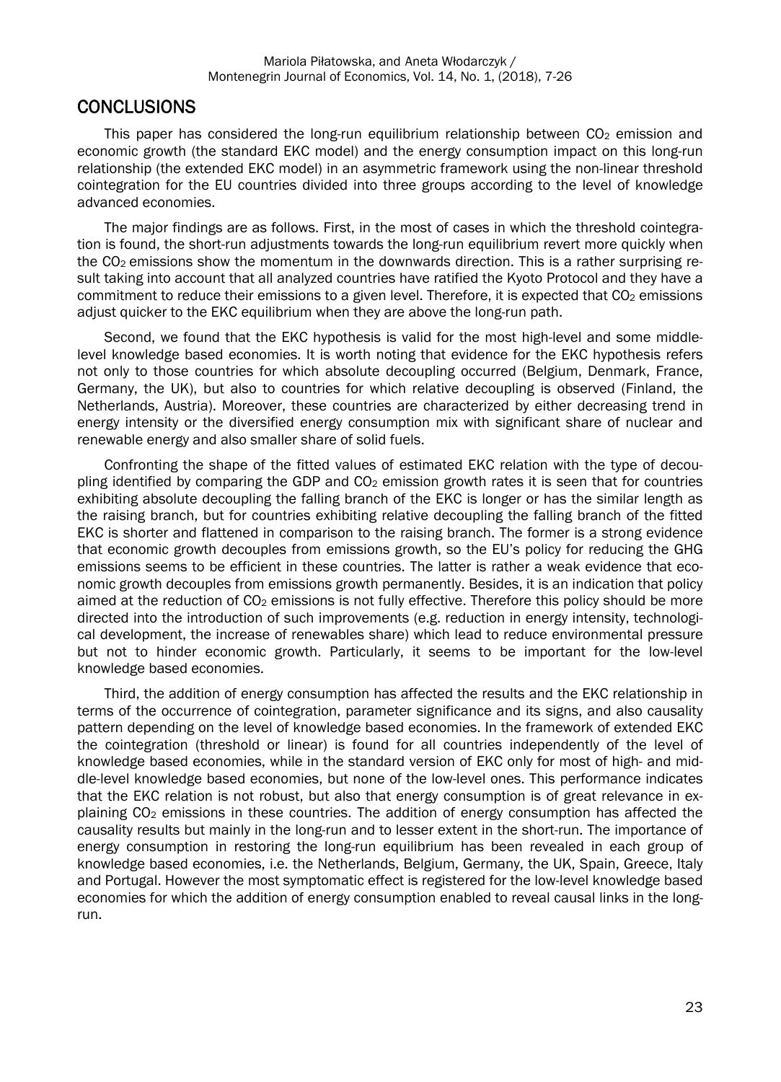### **CONCLUSIONS**

This paper has considered the long-run equilibrium relationship between  $CO<sub>2</sub>$  emission and economic growth (the standard EKC model) and the energy consumption impact on this long-run relationship (the extended EKC model) in an asymmetric framework using the non-linear threshold cointegration for the EU countries divided into three groups according to the level of knowledge advanced economies.

The major findings are as follows. First, in the most of cases in which the threshold cointegration is found, the short-run adjustments towards the long-run equilibrium revert more quickly when the  $CO<sub>2</sub>$  emissions show the momentum in the downwards direction. This is a rather surprising result taking into account that all analyzed countries have ratified the Kyoto Protocol and they have a commitment to reduce their emissions to a given level. Therefore, it is expected that  $CO<sub>2</sub>$  emissions adjust quicker to the EKC equilibrium when they are above the long-run path.

Second, we found that the EKC hypothesis is valid for the most high-level and some middlelevel knowledge based economies. It is worth noting that evidence for the EKC hypothesis refers not only to those countries for which absolute decoupling occurred (Belgium, Denmark, France, Germany, the UK), but also to countries for which relative decoupling is observed (Finland, the Netherlands, Austria). Moreover, these countries are characterized by either decreasing trend in energy intensity or the diversified energy consumption mix with significant share of nuclear and renewable energy and also smaller share of solid fuels.

Confronting the shape of the fitted values of estimated EKC relation with the type of decoupling identified by comparing the GDP and  $CO<sub>2</sub>$  emission growth rates it is seen that for countries exhibiting absolute decoupling the falling branch of the EKC is longer or has the similar length as the raising branch, but for countries exhibiting relative decoupling the falling branch of the fitted EKC is shorter and flattened in comparison to the raising branch. The former is a strong evidence that economic growth decouples from emissions growth, so the EU's policy for reducing the GHG emissions seems to be efficient in these countries. The latter is rather a weak evidence that economic growth decouples from emissions growth permanently. Besides, it is an indication that policy aimed at the reduction of  $CO<sub>2</sub>$  emissions is not fully effective. Therefore this policy should be more directed into the introduction of such improvements (e.g. reduction in energy intensity, technological development, the increase of renewables share) which lead to reduce environmental pressure but not to hinder economic growth. Particularly, it seems to be important for the low-level knowledge based economies.

Third, the addition of energy consumption has affected the results and the EKC relationship in terms of the occurrence of cointegration, parameter significance and its signs, and also causality pattern depending on the level of knowledge based economies. In the framework of extended EKC the cointegration (threshold or linear) is found for all countries independently of the level of knowledge based economies, while in the standard version of EKC only for most of high- and middle-level knowledge based economies, but none of the low-level ones. This performance indicates that the EKC relation is not robust, but also that energy consumption is of great relevance in explaining CO<sub>2</sub> emissions in these countries. The addition of energy consumption has affected the causality results but mainly in the long-run and to lesser extent in the short-run. The importance of energy consumption in restoring the long-run equilibrium has been revealed in each group of knowledge based economies, i.e. the Netherlands, Belgium, Germany, the UK, Spain, Greece, Italy and Portugal. However the most symptomatic effect is registered for the low-level knowledge based economies for which the addition of energy consumption enabled to reveal causal links in the longrun.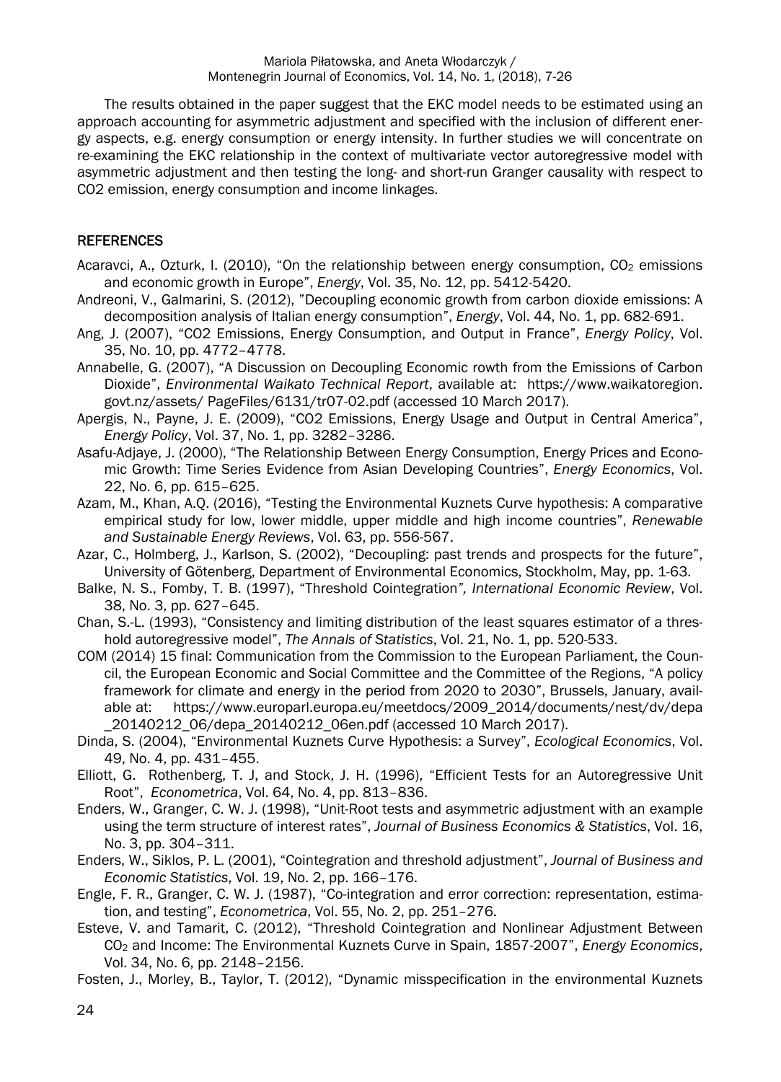The results obtained in the paper suggest that the EKC model needs to be estimated using an approach accounting for asymmetric adjustment and specified with the inclusion of different energy aspects, e.g. energy consumption or energy intensity. In further studies we will concentrate on re-examining the EKC relationship in the context of multivariate vector autoregressive model with asymmetric adjustment and then testing the long- and short-run Granger causality with respect to CO2 emission, energy consumption and income linkages.

### **REFERENCES**

- Acaravci, A., Ozturk, I. (2010), "On the relationship between energy consumption,  $CO<sub>2</sub>$  emissions and economic growth in Europe", *Energy*, Vol. 35, No. 12, pp. 5412-5420.
- Andreoni, V., Galmarini, S. (2012), "Decoupling economic growth from carbon dioxide emissions: A decomposition analysis of Italian energy consumption", *Energy*, Vol. 44, No. 1, pp. 682-691.
- Ang, J. (2007), "CO2 Emissions, Energy Consumption, and Output in France", *Energy Policy*, Vol. 35, No. 10, pp. 4772–4778.
- Annabelle, G. (2007), "A Discussion on Decoupling Economic rowth from the Emissions of Carbon Dioxide", *Environmental Waikato Technical Report*, available at: https://www.waikatoregion. govt.nz/assets/ PageFiles/6131/tr07-02.pdf (accessed 10 March 2017).
- Apergis, N., Payne, J. E. (2009), "CO2 Emissions, Energy Usage and Output in Central America", *Energy Policy*, Vol. 37, No. 1, pp. 3282–3286.
- Asafu-Adjaye, J. (2000), "The Relationship Between Energy Consumption, Energy Prices and Economic Growth: Time Series Evidence from Asian Developing Countries", *Energy Economics*, Vol. 22, No. 6, pp. 615–625.
- Azam, M., Khan, A.Q. (2016), "Testing the Environmental Kuznets Curve hypothesis: A comparative empirical study for low, lower middle, upper middle and high income countries", *Renewable and Sustainable Energy Reviews*, Vol. 63, pp. 556-567.
- Azar, C., Holmberg, J., Karlson, S. (2002), "Decoupling: past trends and prospects for the future", University of Götenberg, Department of Environmental Economics, Stockholm, May, pp. 1-63.
- Balke, N. S., Fomby, T. B. (1997), "Threshold Cointegration*", International Economic Review*, Vol. 38, No. 3, pp. 627–645.
- Chan, S.-L. (1993), "Consistency and limiting distribution of the least squares estimator of a threshold autoregressive model", *The Annals of Statistics*, Vol. 21, No. 1, pp. 520-533.
- COM (2014) 15 final: Communication from the Commission to the European Parliament, the Council, the European Economic and Social Committee and the Committee of the Regions, "A policy framework for climate and energy in the period from 2020 to 2030", Brussels, January, available at: https://www.europarl.europa.eu/meetdocs/2009\_2014/documents/nest/dv/depa \_20140212\_06/depa\_20140212\_06en.pdf (accessed 10 March 2017).
- Dinda, S. (2004), "Environmental Kuznets Curve Hypothesis: a Survey", *Ecological Economics*, Vol. 49, No. 4, pp. 431–455.
- Elliott, G. Rothenberg, T. J, and Stock, J. H. (1996), "Efficient Tests for an Autoregressive Unit Root", *Econometrica*, Vol. 64, No. 4, pp. 813–836.
- Enders, W., Granger, C. W. J. (1998), "Unit-Root tests and asymmetric adjustment with an example using the term structure of interest rates", *Journal of Business Economics & Statistics*, Vol. 16, No. 3, pp. 304–311.
- Enders, W., Siklos, P. L. (2001), "Cointegration and threshold adjustment", *Journal of Business and Economic Statistics*, Vol. 19, No. 2, pp. 166–176.
- Engle, F. R., Granger, C. W. J. (1987), "Co-integration and error correction: representation, estimation, and testing", *Econometrica*, Vol. 55, No. 2, pp. 251–276.
- Esteve, V. and Tamarit, C. (2012), "Threshold Cointegration and Nonlinear Adjustment Between CO2 and Income: The Environmental Kuznets Curve in Spain, 1857-2007", *Energy Economics*, Vol. 34, No. 6, pp. 2148–2156.
- Fosten, J., Morley, B., Taylor, T. (2012), "Dynamic misspecification in the environmental Kuznets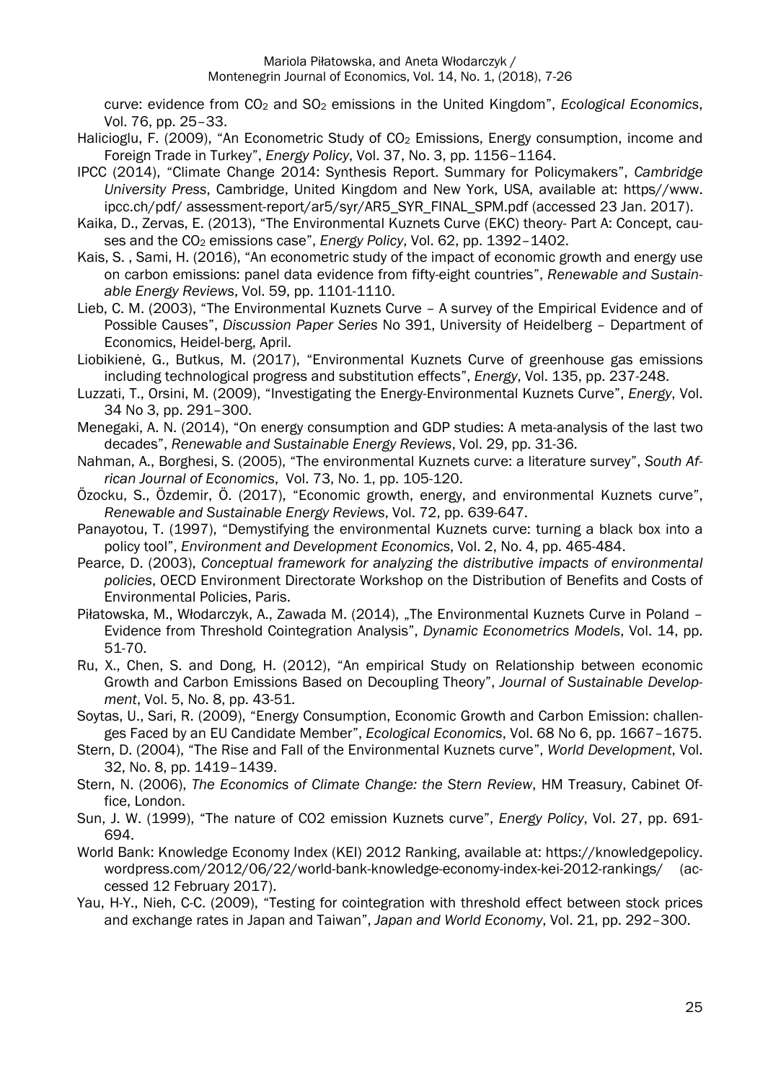curve: evidence from CO2 and SO2 emissions in the United Kingdom", *Ecological Economics*, Vol. 76, pp. 25–33.

- Halicioglu, F. (2009), "An Econometric Study of CO<sub>2</sub> Emissions, Energy consumption, income and Foreign Trade in Turkey", *Energy Policy*, Vol. 37, No. 3, pp. 1156–1164.
- IPCC (2014), "Climate Change 2014: Synthesis Report. Summary for Policymakers", *Cambridge University Press*, Cambridge, United Kingdom and New York, USA, available at: https//www. ipcc.ch/pdf/ assessment-report/ar5/syr/AR5\_SYR\_FINAL\_SPM.pdf (accessed 23 Jan. 2017).
- Kaika, D., Zervas, E. (2013), "The Environmental Kuznets Curve (EKC) theory- Part A: Concept, causes and the CO<sub>2</sub> emissions case", *Energy Policy*, Vol. 62, pp. 1392-1402.
- Kais, S. , Sami, H. (2016), "An econometric study of the impact of economic growth and energy use on carbon emissions: panel data evidence from fifty-eight countries", *Renewable and Sustainable Energy Reviews*, Vol. 59, pp. 1101-1110.
- Lieb, C. M. (2003), "The Environmental Kuznets Curve A survey of the Empirical Evidence and of Possible Causes", *Discussion Paper Series* No 391, University of Heidelberg – Department of Economics, Heidel-berg, April.
- Liobikienė, G., Butkus, M. (2017), "Environmental Kuznets Curve of greenhouse gas emissions including technological progress and substitution effects", *Energy*, Vol. 135, pp. 237-248.
- Luzzati, T., Orsini, M. (2009), "Investigating the Energy-Environmental Kuznets Curve", *Energy*, Vol. 34 No 3, pp. 291–300.
- Menegaki, A. N. (2014), "On energy consumption and GDP studies: A meta-analysis of the last two decades", *Renewable and Sustainable Energy Reviews*, Vol. 29, pp. 31-36.
- Nahman, A., Borghesi, S. (2005), "The environmental Kuznets curve: a literature survey", *South African Journal of Economics*, Vol. 73, No. 1, pp. 105-120.
- Özocku, S., Özdemir, Ö. (2017), "Economic growth, energy, and environmental Kuznets curve", *Renewable and Sustainable Energy Reviews*, Vol. 72, pp. 639-647.
- Panayotou, T. (1997), "Demystifying the environmental Kuznets curve: turning a black box into a policy tool", *Environment and Development Economics*, Vol. 2, No. 4, pp. 465-484.
- Pearce, D. (2003), *Conceptual framework for analyzing the distributive impacts of environmental policies*, OECD Environment Directorate Workshop on the Distribution of Benefits and Costs of Environmental Policies, Paris.
- Piłatowska, M., Włodarczyk, A., Zawada M. (2014), "The Environmental Kuznets Curve in Poland -Evidence from Threshold Cointegration Analysis", *Dynamic Econometrics Models*, Vol. 14, pp. 51-70.
- Ru, X., Chen, S. and Dong, H. (2012), "An empirical Study on Relationship between economic Growth and Carbon Emissions Based on Decoupling Theory", *Journal of Sustainable Development*, Vol. 5, No. 8, pp. 43-51.
- Soytas, U., Sari, R. (2009), "Energy Consumption, Economic Growth and Carbon Emission: challenges Faced by an EU Candidate Member", *Ecological Economics*, Vol. 68 No 6, pp. 1667–1675.
- Stern, D. (2004), "The Rise and Fall of the Environmental Kuznets curve", *World Development*, Vol. 32, No. 8, pp. 1419–1439.
- Stern, N. (2006), *The Economics of Climate Change: the Stern Review*, HM Treasury, Cabinet Office, London.
- Sun, J. W. (1999), "The nature of CO2 emission Kuznets curve", *Energy Policy*, Vol. 27, pp. 691- 694.
- World Bank: Knowledge Economy Index (KEI) 2012 Ranking, available at: https://knowledgepolicy. wordpress.com/2012/06/22/world-bank-knowledge-economy-index-kei-2012-rankings/ (accessed 12 February 2017).
- Yau, H-Y., Nieh, C-C. (2009), "Testing for cointegration with threshold effect between stock prices and exchange rates in Japan and Taiwan", *Japan and World Economy*, Vol. 21, pp. 292–300.